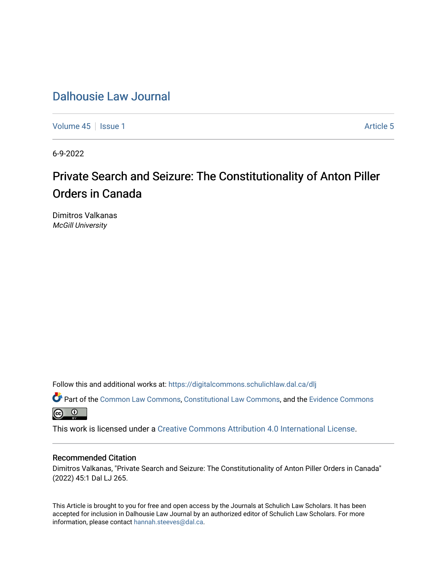[Volume 45](https://digitalcommons.schulichlaw.dal.ca/dlj/vol45) | [Issue 1](https://digitalcommons.schulichlaw.dal.ca/dlj/vol45/iss1) Article 5

6-9-2022

# Private Search and Seizure: The Constitutionality of Anton Piller Orders in Canada

Dimitros Valkanas McGill University

Follow this and additional works at: [https://digitalcommons.schulichlaw.dal.ca/dlj](https://digitalcommons.schulichlaw.dal.ca/dlj?utm_source=digitalcommons.schulichlaw.dal.ca%2Fdlj%2Fvol45%2Fiss1%2F5&utm_medium=PDF&utm_campaign=PDFCoverPages) 

Part of the [Common Law Commons,](https://network.bepress.com/hgg/discipline/1120?utm_source=digitalcommons.schulichlaw.dal.ca%2Fdlj%2Fvol45%2Fiss1%2F5&utm_medium=PDF&utm_campaign=PDFCoverPages) [Constitutional Law Commons,](https://network.bepress.com/hgg/discipline/589?utm_source=digitalcommons.schulichlaw.dal.ca%2Fdlj%2Fvol45%2Fiss1%2F5&utm_medium=PDF&utm_campaign=PDFCoverPages) and the Evidence Commons <u>ේ</u>

This work is licensed under a [Creative Commons Attribution 4.0 International License](https://creativecommons.org/licenses/by/4.0/).

# Recommended Citation

Dimitros Valkanas, "Private Search and Seizure: The Constitutionality of Anton Piller Orders in Canada" (2022) 45:1 Dal LJ 265.

This Article is brought to you for free and open access by the Journals at Schulich Law Scholars. It has been accepted for inclusion in Dalhousie Law Journal by an authorized editor of Schulich Law Scholars. For more information, please contact [hannah.steeves@dal.ca](mailto:hannah.steeves@dal.ca).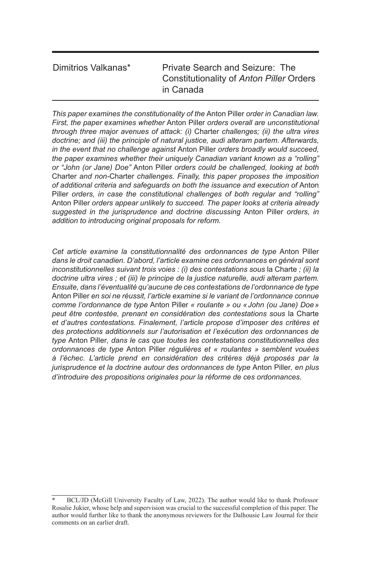# Dimitrios Valkanas\* Private Search and Seizure: The Constitutionality of *Anton Piller* Orders in Canada

*This paper examines the constitutionality of the* Anton Piller *order in Canadian law. First, the paper examines whether* Anton Piller *orders overall are unconstitutional through three major avenues of attack: (i)* Charter *challenges; (ii) the ultra vires doctrine; and (iii) the principle of natural justice, audi alteram partem. Afterwards, in the event that no challenge against* Anton Piller *orders broadly would succeed, the paper examines whether their uniquely Canadian variant known as a "rolling" or "John (or Jane) Doe"* Anton Piller *orders could be challenged, looking at both*  Charter *and non-*Charter *challenges. Finally, this paper proposes the imposition of additional criteria and safeguards on both the issuance and execution of* Anton Piller *orders, in case the constitutional challenges of both regular and "rolling"*  Anton Piller *orders appear unlikely to succeed. The paper looks at criteria already suggested in the jurisprudence and doctrine discussing* Anton Piller *orders, in addition to introducing original proposals for reform.*

*Cet article examine la constitutionnalité des ordonnances de type* Anton Piller *dans le droit canadien. D'abord, l'article examine ces ordonnances en général sont inconstitutionnelles suivant trois voies : (i) des contestations sous la Charte ; (ii) la doctrine ultra vires ; et (iii) le principe de la justice naturelle, audi alteram partem. Ensuite, dans l'éventualité qu'aucune de ces contestations de l'ordonnance de type*  Anton Piller *en soi ne réussit, l'article examine si le variant de l'ordonnance connue comme l'ordonnance de type* Anton Piller *« roulante » ou «John (ou Jane) Doe» peut être contestée, prenant en considération des contestations sous* la Charte *et d'autres contestations. Finalement, l'article propose d'imposer des critères et des protections additionnels sur l'autorisation et l'exécution des ordonnances de type* Anton Piller*, dans le cas que toutes les contestations constitutionnelles des ordonnances de type* Anton Piller *régulières et « roulantes » semblent vouées à l'échec. L'article prend en considération des critères déjà proposés par la jurisprudence et la doctrine autour des ordonnances de type* Anton Piller*, en plus d'introduire des propositions originales pour la réforme de ces ordonnances.*

BCL/JD (McGill University Faculty of Law, 2022). The author would like to thank Professor Rosalie Jukier, whose help and supervision was crucial to the successful completion of this paper. The author would further like to thank the anonymous reviewers for the Dalhousie Law Journal for their comments on an earlier draft.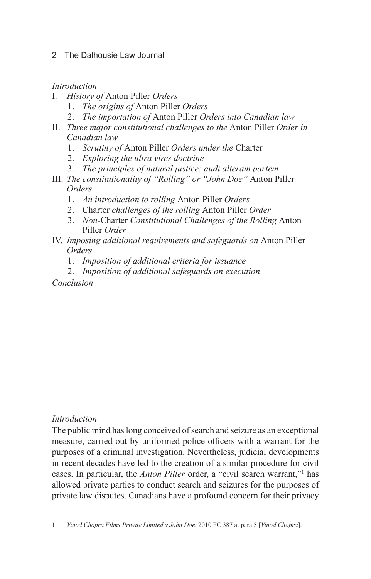# *Introduction*

- I. *History of* Anton Piller *Orders*
	- 1. *The origins of* Anton Piller *Orders*
	- 2. *The importation of* Anton Piller *Orders into Canadian law*
- II. *Three major constitutional challenges to the* Anton Piller *Order in Canadian law*
	- 1. *Scrutiny of* Anton Piller *Orders under the* Charter
	- 2. *Exploring the ultra vires doctrine*
	- 3. *The principles of natural justice: audi alteram partem*
- III. *The constitutionality of "Rolling" or "John Doe"* Anton Piller *Orders*
	- 1. *An introduction to rolling* Anton Piller *Orders*
	- 2. Charter *challenges of the rolling* Anton Piller *Order*
	- 3. *Non-*Charter *Constitutional Challenges of the Rolling* Anton Piller *Order*
- IV. *Imposing additional requirements and safeguards on* Anton Piller *Orders*
	- 1. *Imposition of additional criteria for issuance*
	- 2. *Imposition of additional safeguards on execution*

*Conclusion*

# *Introduction*

The public mind has long conceived of search and seizure as an exceptional measure, carried out by uniformed police officers with a warrant for the purposes of a criminal investigation. Nevertheless, judicial developments in recent decades have led to the creation of a similar procedure for civil cases. In particular, the *Anton Piller* order, a "civil search warrant,"1 has allowed private parties to conduct search and seizures for the purposes of private law disputes. Canadians have a profound concern for their privacy

<sup>1.</sup> *Vinod Chopra Films Private Limited v John Doe*, 2010 FC 387 at para 5 [*Vinod Chopra*].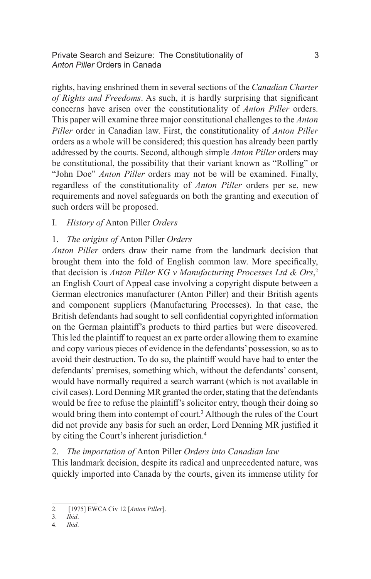Private Search and Seizure: The Constitutionality of 3 *Anton Piller* Orders in Canada

rights, having enshrined them in several sections of the *Canadian Charter of Rights and Freedoms*. As such, it is hardly surprising that significant concerns have arisen over the constitutionality of *Anton Piller* orders. This paper will examine three major constitutional challenges to the *Anton Piller* order in Canadian law. First, the constitutionality of *Anton Piller*  orders as a whole will be considered; this question has already been partly addressed by the courts. Second, although simple *Anton Piller* orders may be constitutional, the possibility that their variant known as "Rolling" or "John Doe" *Anton Piller* orders may not be will be examined. Finally, regardless of the constitutionality of *Anton Piller* orders per se, new requirements and novel safeguards on both the granting and execution of such orders will be proposed.

# I. *History of* Anton Piller *Orders*

# 1. *The origins of* Anton Piller *Orders*

*Anton Piller* orders draw their name from the landmark decision that brought them into the fold of English common law. More specifically, that decision is *Anton Piller KG v Manufacturing Processes Ltd & Ors*, 2 an English Court of Appeal case involving a copyright dispute between a German electronics manufacturer (Anton Piller) and their British agents and component suppliers (Manufacturing Processes). In that case, the British defendants had sought to sell confidential copyrighted information on the German plaintiff's products to third parties but were discovered. This led the plaintiff to request an ex parte order allowing them to examine and copy various pieces of evidence in the defendants' possession, so as to avoid their destruction. To do so, the plaintiff would have had to enter the defendants' premises, something which, without the defendants' consent, would have normally required a search warrant (which is not available in civil cases). Lord Denning MR granted the order, stating that the defendants would be free to refuse the plaintiff's solicitor entry, though their doing so would bring them into contempt of court.<sup>3</sup> Although the rules of the Court did not provide any basis for such an order, Lord Denning MR justified it by citing the Court's inherent jurisdiction.<sup>4</sup>

# 2. *The importation of* Anton Piller *Orders into Canadian law*

This landmark decision, despite its radical and unprecedented nature, was quickly imported into Canada by the courts, given its immense utility for

<sup>2. [1975]</sup> EWCA Civ 12 [*Anton Piller*].

<sup>3.</sup> *Ibid*.

<sup>4.</sup> *Ibid*.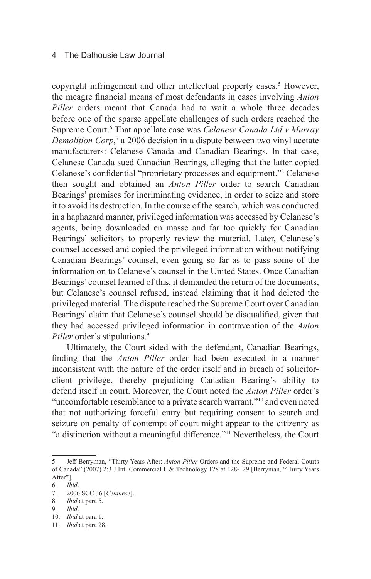copyright infringement and other intellectual property cases.<sup>5</sup> However, the meagre financial means of most defendants in cases involving *Anton Piller* orders meant that Canada had to wait a whole three decades before one of the sparse appellate challenges of such orders reached the Supreme Court.<sup>6</sup> That appellate case was *Celanese Canada Ltd v Murray* Demolition Corp,<sup>7</sup> a 2006 decision in a dispute between two vinyl acetate manufacturers: Celanese Canada and Canadian Bearings. In that case, Celanese Canada sued Canadian Bearings, alleging that the latter copied Celanese's confidential "proprietary processes and equipment."<sup>8</sup> Celanese then sought and obtained an *Anton Piller* order to search Canadian Bearings' premises for incriminating evidence, in order to seize and store it to avoid its destruction. In the course of the search, which was conducted in a haphazard manner, privileged information was accessed by Celanese's agents, being downloaded en masse and far too quickly for Canadian Bearings' solicitors to properly review the material. Later, Celanese's counsel accessed and copied the privileged information without notifying Canadian Bearings' counsel, even going so far as to pass some of the information on to Celanese's counsel in the United States. Once Canadian Bearings' counsel learned of this, it demanded the return of the documents, but Celanese's counsel refused, instead claiming that it had deleted the privileged material. The dispute reached the Supreme Court over Canadian Bearings' claim that Celanese's counsel should be disqualified, given that they had accessed privileged information in contravention of the *Anton Piller* order's stipulations.<sup>9</sup>

Ultimately, the Court sided with the defendant, Canadian Bearings, finding that the *Anton Piller* order had been executed in a manner inconsistent with the nature of the order itself and in breach of solicitorclient privilege, thereby prejudicing Canadian Bearing's ability to defend itself in court. Moreover, the Court noted the *Anton Piller* order's "uncomfortable resemblance to a private search warrant,"10 and even noted that not authorizing forceful entry but requiring consent to search and seizure on penalty of contempt of court might appear to the citizenry as "a distinction without a meaningful difference."11 Nevertheless, the Court

- 8. *Ibid* at para 5.
- 9. *Ibid*.

<sup>5.</sup> Jeff Berryman, "Thirty Years After: *Anton Piller* Orders and the Supreme and Federal Courts of Canada" (2007) 2:3 J Intl Commercial L & Technology 128 at 128-129 [Berryman, "Thirty Years After"].

<sup>6.</sup> *Ibid*.

<sup>7.</sup> 2006 SCC 36 [*Celanese*].

<sup>10.</sup> *Ibid* at para 1.

<sup>11.</sup> *Ibid* at para 28.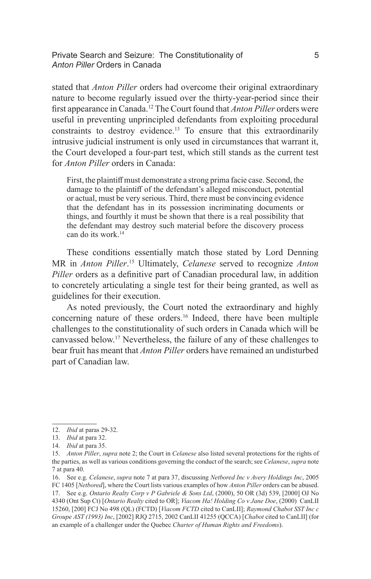Private Search and Seizure: The Constitutionality of 5 *Anton Piller* Orders in Canada

stated that *Anton Piller* orders had overcome their original extraordinary nature to become regularly issued over the thirty-year-period since their first appearance in Canada.12 The Court found that *Anton Piller* orders were useful in preventing unprincipled defendants from exploiting procedural constraints to destroy evidence.<sup>13</sup> To ensure that this extraordinarily intrusive judicial instrument is only used in circumstances that warrant it, the Court developed a four-part test, which still stands as the current test for *Anton Piller* orders in Canada:

First, the plaintiff must demonstrate a strong prima facie case. Second, the damage to the plaintiff of the defendant's alleged misconduct, potential or actual, must be very serious. Third, there must be convincing evidence that the defendant has in its possession incriminating documents or things, and fourthly it must be shown that there is a real possibility that the defendant may destroy such material before the discovery process can do its work  $14$ 

These conditions essentially match those stated by Lord Denning MR in *Anton Piller*. 15 Ultimately, *Celanese* served to recognize *Anton Piller* orders as a definitive part of Canadian procedural law, in addition to concretely articulating a single test for their being granted, as well as guidelines for their execution.

As noted previously, the Court noted the extraordinary and highly concerning nature of these orders.<sup>16</sup> Indeed, there have been multiple challenges to the constitutionality of such orders in Canada which will be canvassed below.17 Nevertheless, the failure of any of these challenges to bear fruit has meant that *Anton Piller* orders have remained an undisturbed part of Canadian law.

<sup>12.</sup> *Ibid* at paras 29-32.

<sup>13.</sup> *Ibid* at para 32.

<sup>14.</sup> *Ibid* at para 35.

<sup>15.</sup> *Anton Piller*, *supra* note 2; the Court in *Celanese* also listed several protections for the rights of the parties, as well as various conditions governing the conduct of the search; see *Celanese*, *supra* note 7 at para 40.

<sup>16.</sup> See e.g. *Celanese*, *supra* note 7 at para 37, discussing *Netbored Inc v Avery Holdings Inc*, 2005 FC 1405 [*Netbored*], where the Court lists various examples of how *Anton Piller* orders can be abused. 17. See e.g. *Ontario Realty Corp v P Gabriele & Sons Ltd*, (2000), 50 OR (3d) 539, [2000] OJ No 4340 (Ont Sup Ct) [*Ontario Realty* cited to OR]; *Viacom Ha! Holding Co v Jane Doe*, (2000) CanLII 15260, [200] FCJ No 498 (QL) (FCTD) [*Viacom FCTD* cited to CanLII]; *Raymond Chabot SST Inc c Groupe AST (1993) Inc*, [2002] RJQ 2715, 2002 CanLII 41255 (QCCA) [*Chabot* cited to CanLII] (for an example of a challenger under the Quebec *Charter of Human Rights and Freedoms*).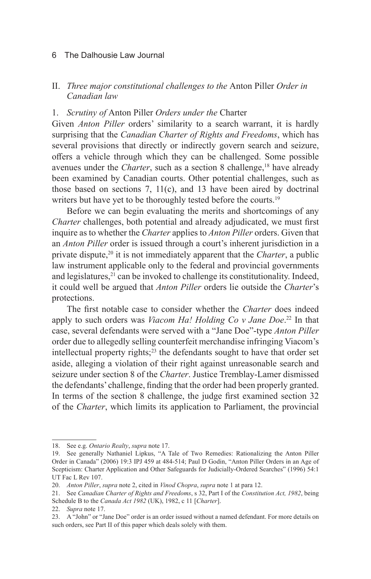# II. *Three major constitutional challenges to the* Anton Piller *Order in Canadian law*

# 1. *Scrutiny of* Anton Piller *Orders under the* Charter

Given *Anton Piller* orders' similarity to a search warrant, it is hardly surprising that the *Canadian Charter of Rights and Freedoms*, which has several provisions that directly or indirectly govern search and seizure, offers a vehicle through which they can be challenged. Some possible avenues under the *Charter*, such as a section 8 challenge,<sup>18</sup> have already been examined by Canadian courts. Other potential challenges, such as those based on sections 7, 11(c), and 13 have been aired by doctrinal writers but have yet to be thoroughly tested before the courts.<sup>19</sup>

Before we can begin evaluating the merits and shortcomings of any *Charter* challenges, both potential and already adjudicated, we must first inquire as to whether the *Charter* applies to *Anton Piller* orders. Given that an *Anton Piller* order is issued through a court's inherent jurisdiction in a private dispute,20 it is not immediately apparent that the *Charter*, a public law instrument applicable only to the federal and provincial governments and legislatures, $^{21}$  can be invoked to challenge its constitutionality. Indeed, it could well be argued that *Anton Piller* orders lie outside the *Charter*'s protections.

The first notable case to consider whether the *Charter* does indeed apply to such orders was *Viacom Ha! Holding Co v Jane Doe*. 22 In that case, several defendants were served with a "Jane Doe"-type *Anton Piller*  order due to allegedly selling counterfeit merchandise infringing Viacom's intellectual property rights; $23$  the defendants sought to have that order set aside, alleging a violation of their right against unreasonable search and seizure under section 8 of the *Charter*. Justice Tremblay-Lamer dismissed the defendants' challenge, finding that the order had been properly granted. In terms of the section 8 challenge, the judge first examined section 32 of the *Charter*, which limits its application to Parliament, the provincial

<sup>18.</sup> See e.g. *Ontario Realty*, *supra* note 17.

<sup>19.</sup> See generally Nathaniel Lipkus, "A Tale of Two Remedies: Rationalizing the Anton Piller Order in Canada" (2006) 19:3 IPJ 459 at 484-514; Paul D Godin, "Anton Piller Orders in an Age of Scepticism: Charter Application and Other Safeguards for Judicially-Ordered Searches" (1996) 54:1 UT Fac L Rev 107.

<sup>20.</sup> *Anton Piller*, *supra* note 2, cited in *Vinod Chopra*, *supra* note 1 at para 12.

<sup>21.</sup> See *Canadian Charter of Rights and Freedoms*, s 32, Part I of the *Constitution Act, 1982*, being Schedule B to the *Canada Act 1982* (UK), 1982, c 11 [*Charter*].

<sup>22.</sup> *Supra* note 17.

<sup>23.</sup> A "John" or "Jane Doe" order is an order issued without a named defendant. For more details on such orders, see Part II of this paper which deals solely with them.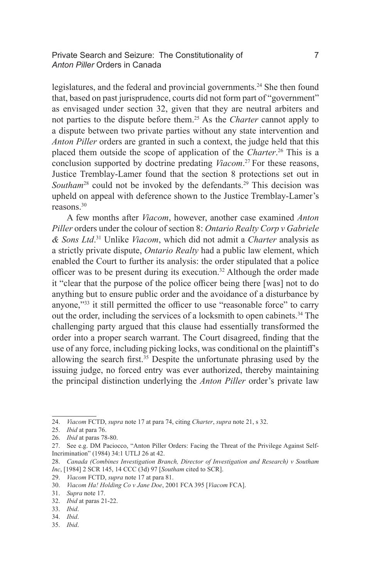Private Search and Seizure: The Constitutionality of 7 *Anton Piller* Orders in Canada

legislatures, and the federal and provincial governments.<sup>24</sup> She then found that, based on past jurisprudence, courts did not form part of "government" as envisaged under section 32, given that they are neutral arbiters and not parties to the dispute before them.25 As the *Charter* cannot apply to a dispute between two private parties without any state intervention and *Anton Piller* orders are granted in such a context, the judge held that this placed them outside the scope of application of the *Charter*. 26 This is a conclusion supported by doctrine predating *Viacom*. <sup>27</sup> For these reasons, Justice Tremblay-Lamer found that the section 8 protections set out in Southam<sup>28</sup> could not be invoked by the defendants.<sup>29</sup> This decision was upheld on appeal with deference shown to the Justice Tremblay-Lamer's reasons.30

A few months after *Viacom*, however, another case examined *Anton Piller* orders under the colour of section 8: *Ontario Realty Corp v Gabriele & Sons Ltd*. 31 Unlike *Viacom*, which did not admit a *Charter* analysis as a strictly private dispute, *Ontario Realty* had a public law element, which enabled the Court to further its analysis: the order stipulated that a police officer was to be present during its execution.32 Although the order made it "clear that the purpose of the police officer being there [was] not to do anything but to ensure public order and the avoidance of a disturbance by anyone,"<sup>33</sup> it still permitted the officer to use "reasonable force" to carry out the order, including the services of a locksmith to open cabinets.<sup>34</sup> The challenging party argued that this clause had essentially transformed the order into a proper search warrant. The Court disagreed, finding that the use of any force, including picking locks, was conditional on the plaintiff's allowing the search first.35 Despite the unfortunate phrasing used by the issuing judge, no forced entry was ever authorized, thereby maintaining the principal distinction underlying the *Anton Piller* order's private law

35. *Ibid*.

<sup>24.</sup> *Viacom* FCTD, *supra* note 17 at para 74, citing *Charter*, *supra* note 21, s 32.

<sup>25.</sup> *Ibid* at para 76.

<sup>26.</sup> *Ibid* at paras 78-80.

<sup>27.</sup> See e.g. DM Paciocco, "Anton Piller Orders: Facing the Threat of the Privilege Against Self-Incrimination" (1984) 34:1 UTLJ 26 at 42.

<sup>28.</sup> *Canada (Combines Investigation Branch, Director of Investigation and Research) v Southam Inc*, [1984] 2 SCR 145, 14 CCC (3d) 97 [*Southam* cited to SCR].

<sup>29.</sup> *Viacom* FCTD, *supra* note 17 at para 81.

<sup>30.</sup> *Viacom Ha! Holding Co v Jane Doe*, 2001 FCA 395 [*Viacom* FCA].

<sup>31.</sup> *Supra* note 17.

<sup>32.</sup> *Ibid* at paras 21-22.

<sup>33.</sup> *Ibid*.

<sup>34.</sup> *Ibid*.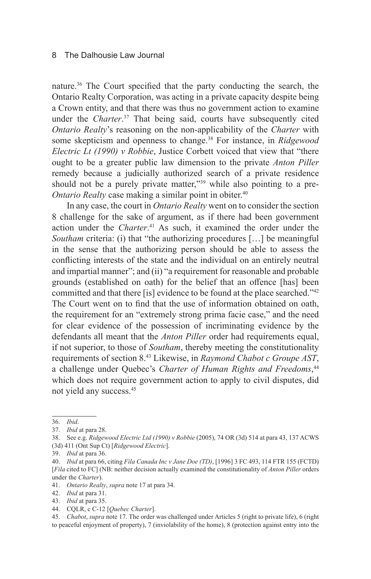nature.36 The Court specified that the party conducting the search, the Ontario Realty Corporation, was acting in a private capacity despite being a Crown entity, and that there was thus no government action to examine under the *Charter*. 37 That being said, courts have subsequently cited *Ontario Realty*'s reasoning on the non-applicability of the *Charter* with some skepticism and openness to change.38 For instance, in *Ridgewood Electric Lt (1990) v Robbie*, Justice Corbett voiced that view that "there ought to be a greater public law dimension to the private *Anton Piller* remedy because a judicially authorized search of a private residence should not be a purely private matter,"<sup>39</sup> while also pointing to a pre-*Ontario Realty* case making a similar point in obiter.<sup>40</sup>

In any case, the court in *Ontario Realty* went on to consider the section 8 challenge for the sake of argument, as if there had been government action under the *Charter*. 41 As such, it examined the order under the *Southam* criteria: (i) that "the authorizing procedures [...] be meaningful in the sense that the authorizing person should be able to assess the conflicting interests of the state and the individual on an entirely neutral and impartial manner"; and (ii) "a requirement for reasonable and probable grounds (established on oath) for the belief that an offence [has] been committed and that there [is] evidence to be found at the place searched."42 The Court went on to find that the use of information obtained on oath, the requirement for an "extremely strong prima facie case," and the need for clear evidence of the possession of incriminating evidence by the defendants all meant that the *Anton Piller* order had requirements equal, if not superior, to those of *Southam*, thereby meeting the constitutionality requirements of section 8.43 Likewise, in *Raymond Chabot c Groupe AST*, a challenge under Quebec's *Charter of Human Rights and Freedoms*, 44 which does not require government action to apply to civil disputes, did not yield any success.45

<sup>36.</sup> *Ibid*.

<sup>37.</sup> *Ibid* at para 28.

<sup>38.</sup> See e.g. *Ridgewood Electric Ltd (1990) v Robbie* (2005), 74 OR (3d) 514 at para 43, 137 ACWS (3d) 411 (Ont Sup Ct) [*Ridgewood Electric*].

<sup>39.</sup> *Ibid* at para 36.

<sup>40.</sup> *Ibid* at para 66, citing *Fila Canada Inc v Jane Doe (TD)*, [1996] 3 FC 493, 114 FTR 155 (FCTD) [*Fila* cited to FC] (NB: neither decision actually examined the constitutionality of *Anton Piller* orders under the *Charter*).

<sup>41.</sup> *Ontario Realty*, *supra* note 17 at para 34.

<sup>42.</sup> *Ibid* at para 31.

<sup>43.</sup> *Ibid* at para 35.

<sup>44.</sup> CQLR, c C-12 [*Quebec Charter*].

<sup>45.</sup> *Chabot*, *supra* note 17. The order was challenged under Articles 5 (right to private life), 6 (right to peaceful enjoyment of property), 7 (inviolability of the home), 8 (protection against entry into the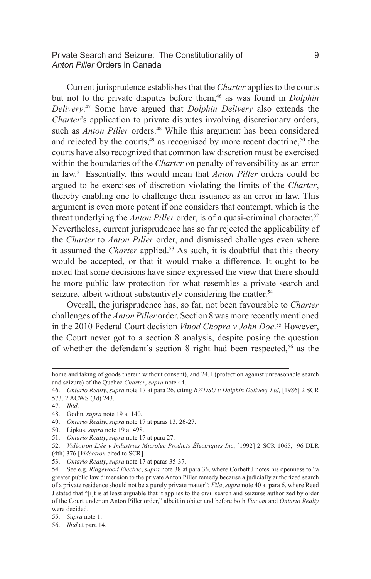Private Search and Seizure: The Constitutionality of 9 *Anton Piller* Orders in Canada

Current jurisprudence establishes that the *Charter* applies to the courts but not to the private disputes before them,<sup>46</sup> as was found in *Dolphin Delivery*. 47 Some have argued that *Dolphin Delivery* also extends the *Charter*'s application to private disputes involving discretionary orders, such as *Anton Piller* orders.<sup>48</sup> While this argument has been considered and rejected by the courts, $49$  as recognised by more recent doctrine, $50$  the courts have also recognized that common law discretion must be exercised within the boundaries of the *Charter* on penalty of reversibility as an error in law.51 Essentially, this would mean that *Anton Piller* orders could be argued to be exercises of discretion violating the limits of the *Charter*, thereby enabling one to challenge their issuance as an error in law. This argument is even more potent if one considers that contempt, which is the threat underlying the *Anton Piller* order, is of a quasi-criminal character.<sup>52</sup> Nevertheless, current jurisprudence has so far rejected the applicability of the *Charter* to *Anton Piller* order, and dismissed challenges even where it assumed the *Charter* applied.<sup>53</sup> As such, it is doubtful that this theory would be accepted, or that it would make a difference. It ought to be noted that some decisions have since expressed the view that there should be more public law protection for what resembles a private search and seizure, albeit without substantively considering the matter.<sup>54</sup>

Overall, the jurisprudence has, so far, not been favourable to *Charter*  challenges of the *Anton Piller* order. Section 8 was more recently mentioned in the 2010 Federal Court decision *Vinod Chopra v John Doe*. 55 However, the Court never got to a section 8 analysis, despite posing the question of whether the defendant's section 8 right had been respected,<sup>56</sup> as the

49. *Ontario Realty*, *supra* note 17 at paras 13, 26-27.

home and taking of goods therein without consent), and 24.1 (protection against unreasonable search and seizure) of the Quebec *Charter*, *supra* note 44.

<sup>46.</sup> *Ontario Realty*, *supra* note 17 at para 26, citing *RWDSU v Dolphin Delivery Ltd,* [1986] 2 SCR

<sup>573, 2</sup> ACWS (3d) 243.

<sup>47.</sup> *Ibid*.

<sup>48.</sup> Godin, *supra* note 19 at 140.

<sup>50.</sup> Lipkus, *supra* note 19 at 498.

<sup>51.</sup> *Ontario Realty*, *supra* note 17 at para 27.

<sup>52.</sup> *Vidéotron Ltée v Industries Microlec Produits Électriques Inc*, [1992] 2 SCR 1065, 96 DLR (4th) 376 [*Vidéotron* cited to SCR].

<sup>53.</sup> *Ontario Realty*, *supra* note 17 at paras 35-37.

<sup>54.</sup> See e.g. *Ridgewood Electric*, *supra* note 38 at para 36, where Corbett J notes his openness to "a greater public law dimension to the private Anton Piller remedy because a judicially authorized search of a private residence should not be a purely private matter"; *Fila*, *supra* note 40 at para 6, where Reed J stated that "[i]t is at least arguable that it applies to the civil search and seizures authorized by order of the Court under an Anton Piller order," albeit in obiter and before both *Viacom* and *Ontario Realty*  were decided.

<sup>55.</sup> *Supra* note 1.

<sup>56.</sup> *Ibid* at para 14.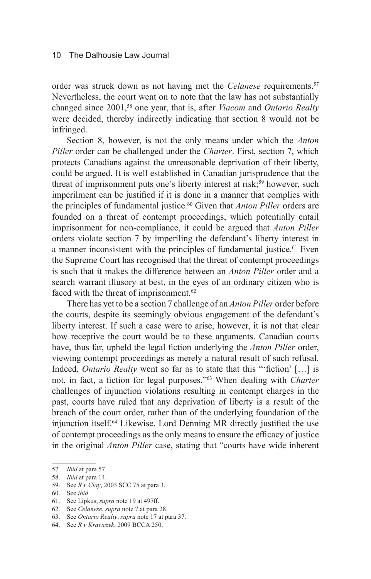order was struck down as not having met the *Celanese* requirements.<sup>57</sup> Nevertheless, the court went on to note that the law has not substantially changed since 2001,<sup>58</sup> one year, that is, after *Viacom* and *Ontario Realty* were decided, thereby indirectly indicating that section 8 would not be infringed.

Section 8, however, is not the only means under which the *Anton Piller* order can be challenged under the *Charter*. First, section 7, which protects Canadians against the unreasonable deprivation of their liberty, could be argued. It is well established in Canadian jurisprudence that the threat of imprisonment puts one's liberty interest at risk;<sup>59</sup> however, such imperilment can be justified if it is done in a manner that complies with the principles of fundamental justice.<sup>60</sup> Given that *Anton Piller* orders are founded on a threat of contempt proceedings, which potentially entail imprisonment for non-compliance, it could be argued that *Anton Piller*  orders violate section 7 by imperiling the defendant's liberty interest in a manner inconsistent with the principles of fundamental justice.<sup>61</sup> Even the Supreme Court has recognised that the threat of contempt proceedings is such that it makes the difference between an *Anton Piller* order and a search warrant illusory at best, in the eyes of an ordinary citizen who is faced with the threat of imprisonment.<sup>62</sup>

There has yet to be a section 7 challenge of an *Anton Piller* order before the courts, despite its seemingly obvious engagement of the defendant's liberty interest. If such a case were to arise, however, it is not that clear how receptive the court would be to these arguments. Canadian courts have, thus far, upheld the legal fiction underlying the *Anton Piller* order, viewing contempt proceedings as merely a natural result of such refusal. Indeed, *Ontario Realty* went so far as to state that this "'fiction' […] is not, in fact, a fiction for legal purposes."63 When dealing with *Charter*  challenges of injunction violations resulting in contempt charges in the past, courts have ruled that any deprivation of liberty is a result of the breach of the court order, rather than of the underlying foundation of the injunction itself.64 Likewise, Lord Denning MR directly justified the use of contempt proceedings as the only means to ensure the efficacy of justice in the original *Anton Piller* case, stating that "courts have wide inherent

<sup>57.</sup> *Ibid* at para 57.

<sup>58.</sup> *Ibid* at para 14.

<sup>59.</sup> See *R v Clay*, 2003 SCC 75 at para 3.

<sup>60.</sup> See *ibid*.

<sup>61.</sup> See Lipkus, *supra* note 19 at 497ff.

<sup>62.</sup> See *Celanese*, *supra* note 7 at para 28.

<sup>63.</sup> See *Ontario Realty*, *supra* note 17 at para 37.

<sup>64.</sup> See *R v Krawczyk*, 2009 BCCA 250.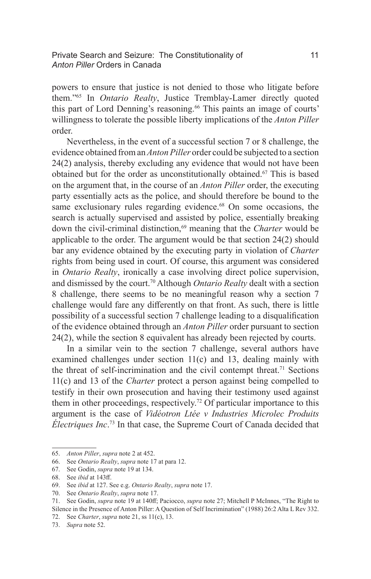# Private Search and Seizure: The Constitutionality of 11 *Anton Piller* Orders in Canada

powers to ensure that justice is not denied to those who litigate before them."65 In *Ontario Realty*, Justice Tremblay-Lamer directly quoted this part of Lord Denning's reasoning.<sup>66</sup> This paints an image of courts' willingness to tolerate the possible liberty implications of the *Anton Piller*  order.

Nevertheless, in the event of a successful section 7 or 8 challenge, the evidence obtained from an *Anton Piller* order could be subjected to a section 24(2) analysis, thereby excluding any evidence that would not have been obtained but for the order as unconstitutionally obtained.67 This is based on the argument that, in the course of an *Anton Piller* order, the executing party essentially acts as the police, and should therefore be bound to the same exclusionary rules regarding evidence.<sup>68</sup> On some occasions, the search is actually supervised and assisted by police, essentially breaking down the civil-criminal distinction,69 meaning that the *Charter* would be applicable to the order. The argument would be that section 24(2) should bar any evidence obtained by the executing party in violation of *Charter* rights from being used in court. Of course, this argument was considered in *Ontario Realty*, ironically a case involving direct police supervision, and dismissed by the court.70 Although *Ontario Realty* dealt with a section 8 challenge, there seems to be no meaningful reason why a section 7 challenge would fare any differently on that front. As such, there is little possibility of a successful section 7 challenge leading to a disqualification of the evidence obtained through an *Anton Piller* order pursuant to section 24(2), while the section 8 equivalent has already been rejected by courts.

In a similar vein to the section 7 challenge, several authors have examined challenges under section 11(c) and 13, dealing mainly with the threat of self-incrimination and the civil contempt threat.71 Sections 11(c) and 13 of the *Charter* protect a person against being compelled to testify in their own prosecution and having their testimony used against them in other proceedings, respectively.<sup>72</sup> Of particular importance to this argument is the case of *Vidéotron Ltée v Industries Microlec Produits Électriques Inc*. 73 In that case, the Supreme Court of Canada decided that

<sup>65.</sup> *Anton Piller*, *supra* note 2 at 452.

<sup>66.</sup> See *Ontario Realty*, *supra* note 17 at para 12.

<sup>67.</sup> See Godin, *supra* note 19 at 134.

<sup>68.</sup> See *ibid* at 143ff.

<sup>69.</sup> See *ibid* at 127. See e.g. *Ontario Realty*, *supra* note 17.

<sup>70.</sup> See *Ontario Realty*, *supra* note 17.

<sup>71.</sup> See Godin, *supra* note 19 at 140ff; Paciocco, *supra* note 27; Mitchell P McInnes, "The Right to Silence in the Presence of Anton Piller: A Question of Self Incrimination" (1988) 26:2 Alta L Rev 332.

<sup>72.</sup> See *Charter*, *supra* note 21, ss 11(c), 13.

<sup>73.</sup> *Supra* note 52.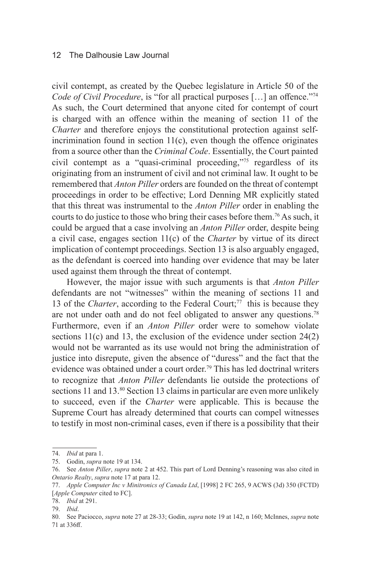civil contempt, as created by the Quebec legislature in Article 50 of the *Code of Civil Procedure*, is "for all practical purposes [...] an offence."<sup>74</sup> As such, the Court determined that anyone cited for contempt of court is charged with an offence within the meaning of section 11 of the *Charter* and therefore enjoys the constitutional protection against selfincrimination found in section  $11(c)$ , even though the offence originates from a source other than the *Criminal Code*. Essentially, the Court painted civil contempt as a "quasi-criminal proceeding,"75 regardless of its originating from an instrument of civil and not criminal law. It ought to be remembered that *Anton Piller* orders are founded on the threat of contempt proceedings in order to be effective; Lord Denning MR explicitly stated that this threat was instrumental to the *Anton Piller* order in enabling the courts to do justice to those who bring their cases before them.76 As such, it could be argued that a case involving an *Anton Piller* order, despite being a civil case, engages section 11(c) of the *Charter* by virtue of its direct implication of contempt proceedings. Section 13 is also arguably engaged, as the defendant is coerced into handing over evidence that may be later used against them through the threat of contempt.

However, the major issue with such arguments is that *Anton Piller* defendants are not "witnesses" within the meaning of sections 11 and 13 of the *Charter*, according to the Federal Court;<sup>77</sup> this is because they are not under oath and do not feel obligated to answer any questions.<sup>78</sup> Furthermore, even if an *Anton Piller* order were to somehow violate sections 11(c) and 13, the exclusion of the evidence under section 24(2) would not be warranted as its use would not bring the administration of justice into disrepute, given the absence of "duress" and the fact that the evidence was obtained under a court order.<sup>79</sup> This has led doctrinal writers to recognize that *Anton Piller* defendants lie outside the protections of sections 11 and 13.80 Section 13 claims in particular are even more unlikely to succeed, even if the *Charter* were applicable. This is because the Supreme Court has already determined that courts can compel witnesses to testify in most non-criminal cases, even if there is a possibility that their

<sup>74.</sup> *Ibid* at para 1.

<sup>75.</sup> Godin, *supra* note 19 at 134.

<sup>76.</sup> See *Anton Piller*, *supra* note 2 at 452. This part of Lord Denning's reasoning was also cited in *Ontario Realty*, *supra* note 17 at para 12.

<sup>77.</sup> *Apple Computer Inc v Minitronics of Canada Ltd*, [1998] 2 FC 265, 9 ACWS (3d) 350 (FCTD) [*Apple Computer* cited to FC].

<sup>78.</sup> *Ibid* at 291.

<sup>79.</sup> *Ibid*.

<sup>80.</sup> See Paciocco, *supra* note 27 at 28-33; Godin, *supra* note 19 at 142, n 160; McInnes, *supra* note 71 at 336ff.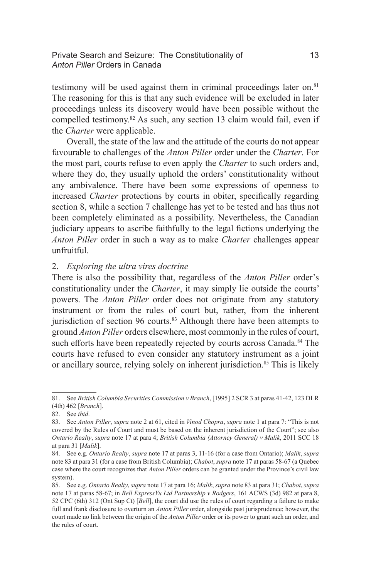# Private Search and Seizure: The Constitutionality of 13 *Anton Piller* Orders in Canada

testimony will be used against them in criminal proceedings later on. $81$ The reasoning for this is that any such evidence will be excluded in later proceedings unless its discovery would have been possible without the compelled testimony.82 As such, any section 13 claim would fail, even if the *Charter* were applicable.

Overall, the state of the law and the attitude of the courts do not appear favourable to challenges of the *Anton Piller* order under the *Charter*. For the most part, courts refuse to even apply the *Charter* to such orders and, where they do, they usually uphold the orders' constitutionality without any ambivalence. There have been some expressions of openness to increased *Charter* protections by courts in obiter, specifically regarding section 8, while a section 7 challenge has yet to be tested and has thus not been completely eliminated as a possibility. Nevertheless, the Canadian judiciary appears to ascribe faithfully to the legal fictions underlying the *Anton Piller* order in such a way as to make *Charter* challenges appear unfruitful.

#### 2. *Exploring the ultra vires doctrine*

There is also the possibility that, regardless of the *Anton Piller* order's constitutionality under the *Charter*, it may simply lie outside the courts' powers. The *Anton Piller* order does not originate from any statutory instrument or from the rules of court but, rather, from the inherent jurisdiction of section 96 courts. $83$  Although there have been attempts to ground *Anton Piller* orders elsewhere, most commonly in the rules of court, such efforts have been repeatedly rejected by courts across Canada.<sup>84</sup> The courts have refused to even consider any statutory instrument as a joint or ancillary source, relying solely on inherent jurisdiction.<sup>85</sup> This is likely

<sup>81.</sup> See *British Columbia Securities Commission v Branch*, [1995] 2 SCR 3 at paras 41-42, 123 DLR (4th) 462 [*Branch*].

<sup>82.</sup> See *ibid*.

<sup>83.</sup> See *Anton Piller*, *supra* note 2 at 61, cited in *Vinod Chopra*, *supra* note 1 at para 7: "This is not covered by the Rules of Court and must be based on the inherent jurisdiction of the Court"; see also *Ontario Realty*, *supra* note 17 at para 4; *British Columbia (Attorney General) v Malik*, 2011 SCC 18 at para 31 [*Malik*].

<sup>84.</sup> See e.g. *Ontario Realty*, *supra* note 17 at paras 3, 11-16 (for a case from Ontario); *Malik*, *supra*  note 83 at para 31 (for a case from British Columbia); *Chabot*, *supra* note 17 at paras 58-67 (a Quebec case where the court recognizes that *Anton Piller* orders can be granted under the Province's civil law system).

<sup>85.</sup> See e.g. *Ontario Realty*, *supra* note 17 at para 16; *Malik*, *supra* note 83 at para 31; *Chabot*, *supra*  note 17 at paras 58-67; in *Bell ExpressVu Ltd Partnership v Rodgers*, 161 ACWS (3d) 982 at para 8, 52 CPC (6th) 312 (Ont Sup Ct) [*Bell*], the court did use the rules of court regarding a failure to make full and frank disclosure to overturn an *Anton Piller* order, alongside past jurisprudence; however, the court made no link between the origin of the *Anton Piller* order or its power to grant such an order, and the rules of court.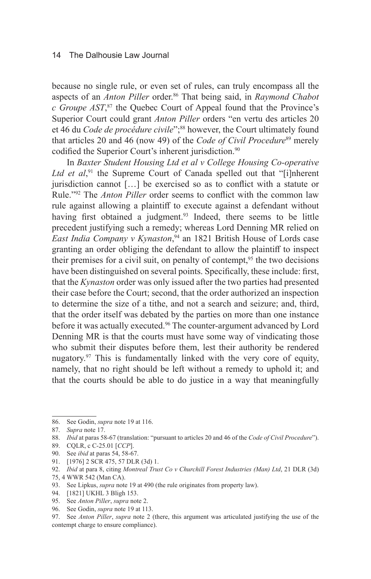because no single rule, or even set of rules, can truly encompass all the aspects of an *Anton Piller* order.<sup>86</sup> That being said, in *Raymond Chabot c Groupe AST*, <sup>87</sup> the Quebec Court of Appeal found that the Province's Superior Court could grant *Anton Piller* orders "en vertu des articles 20 et 46 du *Code de procédure civile*";<sup>88</sup> however, the Court ultimately found that articles 20 and 46 (now 49) of the *Code of Civil Procedure*<sup>89</sup> merely codified the Superior Court's inherent jurisdiction.<sup>90</sup>

In *Baxter Student Housing Ltd et al v College Housing Co-operative*  Ltd et al,<sup>91</sup> the Supreme Court of Canada spelled out that "[i]nherent jurisdiction cannot […] be exercised so as to conflict with a statute or Rule."92 The *Anton Piller* order seems to conflict with the common law rule against allowing a plaintiff to execute against a defendant without having first obtained a judgment.<sup>93</sup> Indeed, there seems to be little precedent justifying such a remedy; whereas Lord Denning MR relied on *East India Company v Kynaston*, 94 an 1821 British House of Lords case granting an order obliging the defendant to allow the plaintiff to inspect their premises for a civil suit, on penalty of contempt,  $95$  the two decisions have been distinguished on several points. Specifically, these include: first, that the *Kynaston* order was only issued after the two parties had presented their case before the Court; second, that the order authorized an inspection to determine the size of a tithe, and not a search and seizure; and, third, that the order itself was debated by the parties on more than one instance before it was actually executed.<sup>96</sup> The counter-argument advanced by Lord Denning MR is that the courts must have some way of vindicating those who submit their disputes before them, lest their authority be rendered nugatory.<sup>97</sup> This is fundamentally linked with the very core of equity, namely, that no right should be left without a remedy to uphold it; and that the courts should be able to do justice in a way that meaningfully

93. See Lipkus, *supra* note 19 at 490 (the rule originates from property law).

<sup>86.</sup> See Godin, *supra* note 19 at 116.

<sup>87.</sup> *Supra* note 17.

<sup>88.</sup> *Ibid* at paras 58-67 (translation: "pursuant to articles 20 and 46 of the *Code of Civil Procedure*").

<sup>89.</sup> CQLR, c C-25.01 [*CCP*].

<sup>90.</sup> See *ibid* at paras 54, 58-67.

<sup>91.</sup> [1976] 2 SCR 475, 57 DLR (3d) 1.

<sup>92.</sup> *Ibid* at para 8, citing *Montreal Trust Co v Churchill Forest Industries (Man) Ltd*, 21 DLR (3d) 75, 4 WWR 542 (Man CA).

<sup>94.</sup> [1821] UKHL 3 Bligh 153.

<sup>95.</sup> See *Anton Piller*, *supra* note 2.

<sup>96.</sup> See Godin, *supra* note 19 at 113.

<sup>97.</sup> See *Anton Piller*, *supra* note 2 (there, this argument was articulated justifying the use of the contempt charge to ensure compliance).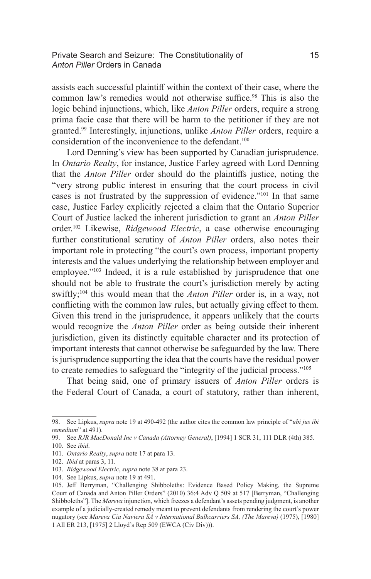### Private Search and Seizure: The Constitutionality of 15 *Anton Piller* Orders in Canada

assists each successful plaintiff within the context of their case, where the common law's remedies would not otherwise suffice.<sup>98</sup> This is also the logic behind injunctions, which, like *Anton Piller* orders, require a strong prima facie case that there will be harm to the petitioner if they are not granted.99 Interestingly, injunctions, unlike *Anton Piller* orders, require a consideration of the inconvenience to the defendant.<sup>100</sup>

Lord Denning's view has been supported by Canadian jurisprudence. In *Ontario Realty*, for instance, Justice Farley agreed with Lord Denning that the *Anton Piller* order should do the plaintiffs justice, noting the "very strong public interest in ensuring that the court process in civil cases is not frustrated by the suppression of evidence."101 In that same case, Justice Farley explicitly rejected a claim that the Ontario Superior Court of Justice lacked the inherent jurisdiction to grant an *Anton Piller*  order.102 Likewise, *Ridgewood Electric*, a case otherwise encouraging further constitutional scrutiny of *Anton Piller* orders, also notes their important role in protecting "the court's own process, important property interests and the values underlying the relationship between employer and employee."<sup>103</sup> Indeed, it is a rule established by jurisprudence that one should not be able to frustrate the court's jurisdiction merely by acting swiftly;<sup>104</sup> this would mean that the *Anton Piller* order is, in a way, not conflicting with the common law rules, but actually giving effect to them. Given this trend in the jurisprudence, it appears unlikely that the courts would recognize the *Anton Piller* order as being outside their inherent jurisdiction, given its distinctly equitable character and its protection of important interests that cannot otherwise be safeguarded by the law. There is jurisprudence supporting the idea that the courts have the residual power to create remedies to safeguard the "integrity of the judicial process."105

That being said, one of primary issuers of *Anton Piller* orders is the Federal Court of Canada, a court of statutory, rather than inherent,

<sup>98.</sup> See Lipkus, *supra* note 19 at 490-492 (the author cites the common law principle of "*ubi jus ibi remedium*" at 491).

<sup>99.</sup> See *RJR MacDonald Inc v Canada (Attorney General)*, [1994] 1 SCR 31, 111 DLR (4th) 385.

<sup>100.</sup> See *ibid*.

<sup>101.</sup> *Ontario Realty*, *supra* note 17 at para 13.

<sup>102.</sup> *Ibid* at paras 3, 11.

<sup>103.</sup> *Ridgewood Electric*, *supra* note 38 at para 23.

<sup>104.</sup> See Lipkus, *supra* note 19 at 491.

<sup>105.</sup> Jeff Berryman, "Challenging Shibboleths: Evidence Based Policy Making, the Supreme Court of Canada and Anton Piller Orders" (2010) 36:4 Adv Q 509 at 517 [Berryman, "Challenging Shibboleths"]. The *Mareva* injunction, which freezes a defendant's assets pending judgment, is another example of a judicially-created remedy meant to prevent defendants from rendering the court's power nugatory (see *Mareva Cia Naviera SA v International Bulkcarriers SA, (The Mareva)* (1975), [1980] 1 All ER 213, [1975] 2 Lloyd's Rep 509 (EWCA (Civ Div))).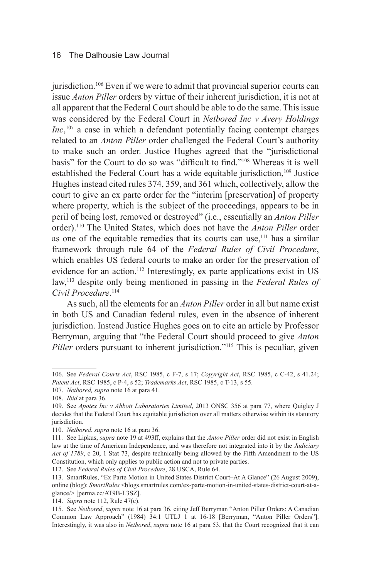jurisdiction.<sup>106</sup> Even if we were to admit that provincial superior courts can issue *Anton Piller* orders by virtue of their inherent jurisdiction, it is not at all apparent that the Federal Court should be able to do the same. This issue was considered by the Federal Court in *Netbored Inc v Avery Holdings Inc*,<sup>107</sup> a case in which a defendant potentially facing contempt charges related to an *Anton Piller* order challenged the Federal Court's authority to make such an order. Justice Hughes agreed that the "jurisdictional basis" for the Court to do so was "difficult to find."108 Whereas it is well established the Federal Court has a wide equitable jurisdiction,<sup>109</sup> Justice Hughes instead cited rules 374, 359, and 361 which, collectively, allow the court to give an ex parte order for the "interim [preservation] of property where property, which is the subject of the proceedings, appears to be in peril of being lost, removed or destroyed" (i.e., essentially an *Anton Piller*  order).110 The United States, which does not have the *Anton Piller* order as one of the equitable remedies that its courts can use,  $111$  has a similar framework through rule 64 of the *Federal Rules of Civil Procedure*, which enables US federal courts to make an order for the preservation of evidence for an action.<sup>112</sup> Interestingly, ex parte applications exist in US law,113 despite only being mentioned in passing in the *Federal Rules of Civil Procedure*. 114

As such, all the elements for an *Anton Piller* order in all but name exist in both US and Canadian federal rules, even in the absence of inherent jurisdiction. Instead Justice Hughes goes on to cite an article by Professor Berryman, arguing that "the Federal Court should proceed to give *Anton Piller* orders pursuant to inherent jurisdiction."<sup>115</sup> This is peculiar, given

<sup>106.</sup> See *Federal Courts Act*, RSC 1985, c F-7, s 17; *Copyright Act*, RSC 1985, c C-42, s 41.24; *Patent Act*, RSC 1985, c P-4, s 52; *Trademarks Act*, RSC 1985, c T-13, s 55.

<sup>107.</sup> *Netbored, supra* note 16 at para 41.

<sup>108.</sup> *Ibid* at para 36.

<sup>109.</sup> See *Apotex Inc v Abbott Laboratories Limited*, 2013 ONSC 356 at para 77, where Quigley J decides that the Federal Court has equitable jurisdiction over all matters otherwise within its statutory jurisdiction.

<sup>110.</sup> *Netbored*, *supra* note 16 at para 36.

<sup>111.</sup> See Lipkus, *supra* note 19 at 493ff, explains that the *Anton Piller* order did not exist in English law at the time of American Independence, and was therefore not integrated into it by the *Judiciary Act of 1789*, c 20, 1 Stat 73, despite technically being allowed by the Fifth Amendment to the US Constitution, which only applies to public action and not to private parties.

<sup>112.</sup> See *Federal Rules of Civil Procedure*, 28 USCA, Rule 64.

<sup>113.</sup> SmartRules, "Ex Parte Motion in United States District Court–At A Glance" (26 August 2009), online (blog): *SmartRules* <blogs.smartrules.com/ex-parte-motion-in-united-states-district-court-at-aglance/> [perma.cc/AT9B-L3SZ].

<sup>114.</sup> *Supra* note 112, Rule 47(c).

<sup>115.</sup> See *Netbored*, *supra* note 16 at para 36, citing Jeff Berryman "Anton Piller Orders: A Canadian Common Law Approach" (1984) 34:1 UTLJ 1 at 16-18 [Berryman, "Anton Piller Orders"]. Interestingly, it was also in *Netbored*, *supra* note 16 at para 53, that the Court recognized that it can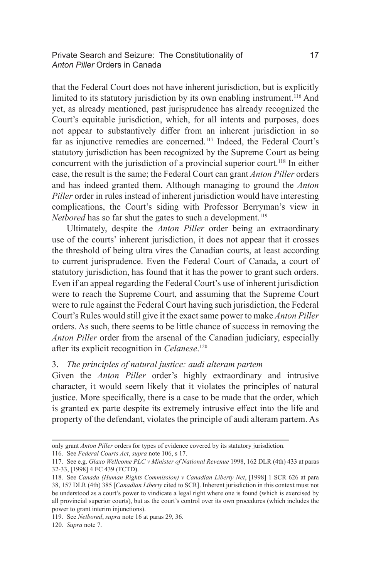Private Search and Seizure: The Constitutionality of 17 *Anton Piller* Orders in Canada

that the Federal Court does not have inherent jurisdiction, but is explicitly limited to its statutory jurisdiction by its own enabling instrument.<sup>116</sup> And yet, as already mentioned, past jurisprudence has already recognized the Court's equitable jurisdiction, which, for all intents and purposes, does not appear to substantively differ from an inherent jurisdiction in so far as injunctive remedies are concerned.117 Indeed, the Federal Court's statutory jurisdiction has been recognized by the Supreme Court as being concurrent with the jurisdiction of a provincial superior court.<sup>118</sup> In either case, the result is the same; the Federal Court can grant *Anton Piller* orders and has indeed granted them. Although managing to ground the *Anton Piller* order in rules instead of inherent jurisdiction would have interesting complications, the Court's siding with Professor Berryman's view in *Netbored* has so far shut the gates to such a development.<sup>119</sup>

Ultimately, despite the *Anton Piller* order being an extraordinary use of the courts' inherent jurisdiction, it does not appear that it crosses the threshold of being ultra vires the Canadian courts, at least according to current jurisprudence. Even the Federal Court of Canada, a court of statutory jurisdiction, has found that it has the power to grant such orders. Even if an appeal regarding the Federal Court's use of inherent jurisdiction were to reach the Supreme Court, and assuming that the Supreme Court were to rule against the Federal Court having such jurisdiction, the Federal Court's Rules would still give it the exact same power to make *Anton Piller*  orders. As such, there seems to be little chance of success in removing the *Anton Piller* order from the arsenal of the Canadian judiciary, especially after its explicit recognition in *Celanese*. 120

#### 3. *The principles of natural justice: audi alteram partem*

Given the *Anton Piller* order's highly extraordinary and intrusive character, it would seem likely that it violates the principles of natural justice. More specifically, there is a case to be made that the order, which is granted ex parte despite its extremely intrusive effect into the life and property of the defendant, violates the principle of audi alteram partem. As

only grant *Anton Piller* orders for types of evidence covered by its statutory jurisdiction.

<sup>116.</sup> See *Federal Courts Act*, *supra* note 106, s 17.

<sup>117.</sup> See e.g. *Glaxo Wellcome PLC v Minister of National Revenue* 1998, 162 DLR (4th) 433 at paras 32-33, [1998] 4 FC 439 (FCTD).

<sup>118.</sup> See *Canada (Human Rights Commission) v Canadian Liberty Net*, [1998] 1 SCR 626 at para 38, 157 DLR (4th) 385 [*Canadian Liberty* cited to SCR]. Inherent jurisdiction in this context must not be understood as a court's power to vindicate a legal right where one is found (which is exercised by all provincial superior courts), but as the court's control over its own procedures (which includes the power to grant interim injunctions).

<sup>119.</sup> See *Netbored*, *supra* note 16 at paras 29, 36.

<sup>120.</sup> *Supra* note 7.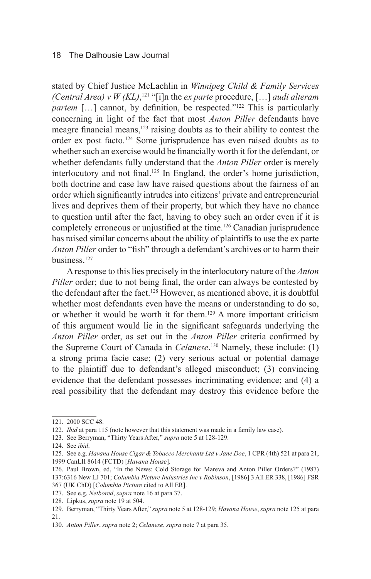stated by Chief Justice McLachlin in *Winnipeg Child & Family Services (Central Area) v W (KL)*, 121 "[i]n the *ex parte* procedure, […] *audi alteram partem* [...] cannot, by definition, be respected."<sup>122</sup> This is particularly concerning in light of the fact that most *Anton Piller* defendants have meagre financial means, $123$  raising doubts as to their ability to contest the order ex post facto.124 Some jurisprudence has even raised doubts as to whether such an exercise would be financially worth it for the defendant, or whether defendants fully understand that the *Anton Piller* order is merely interlocutory and not final.<sup>125</sup> In England, the order's home jurisdiction, both doctrine and case law have raised questions about the fairness of an order which significantly intrudes into citizens' private and entrepreneurial lives and deprives them of their property, but which they have no chance to question until after the fact, having to obey such an order even if it is completely erroneous or unjustified at the time.<sup>126</sup> Canadian jurisprudence has raised similar concerns about the ability of plaintiffs to use the ex parte *Anton Piller* order to "fish" through a defendant's archives or to harm their business.127

A response to this lies precisely in the interlocutory nature of the *Anton Piller* order; due to not being final, the order can always be contested by the defendant after the fact.<sup>128</sup> However, as mentioned above, it is doubtful whether most defendants even have the means or understanding to do so, or whether it would be worth it for them.129 A more important criticism of this argument would lie in the significant safeguards underlying the *Anton Piller* order, as set out in the *Anton Piller* criteria confirmed by the Supreme Court of Canada in *Celanese*. 130 Namely, these include: (1) a strong prima facie case; (2) very serious actual or potential damage to the plaintiff due to defendant's alleged misconduct; (3) convincing evidence that the defendant possesses incriminating evidence; and (4) a real possibility that the defendant may destroy this evidence before the

<sup>121.</sup> 2000 SCC 48.

<sup>122.</sup> *Ibid* at para 115 (note however that this statement was made in a family law case).

<sup>123.</sup> See Berryman, "Thirty Years After," *supra* note 5 at 128-129.

<sup>124.</sup> See *ibid*.

<sup>125.</sup> See e.g. *Havana House Cigar & Tobacco Merchants Ltd v Jane Doe*, 1 CPR (4th) 521 at para 21, 1999 CanLII 8614 (FCTD) [*Havana House*].

<sup>126.</sup> Paul Brown, ed, "In the News: Cold Storage for Mareva and Anton Piller Orders?" (1987) 137:6316 New LJ 701; *Columbia Picture Industries Inc v Robinson*, [1986] 3 All ER 338, [1986] FSR

<sup>367 (</sup>UK ChD) [*Columbia Picture* cited to All ER]. 127. See e.g. *Netbored*, *supra* note 16 at para 37.

<sup>128.</sup> Lipkus, *supra* note 19 at 504.

<sup>129.</sup> Berryman, "Thirty Years After," *supra* note 5 at 128-129; *Havana House*, *supra* note 125 at para 21.

<sup>130.</sup> *Anton Piller*, *supra* note 2; *Celanese*, *supra* note 7 at para 35.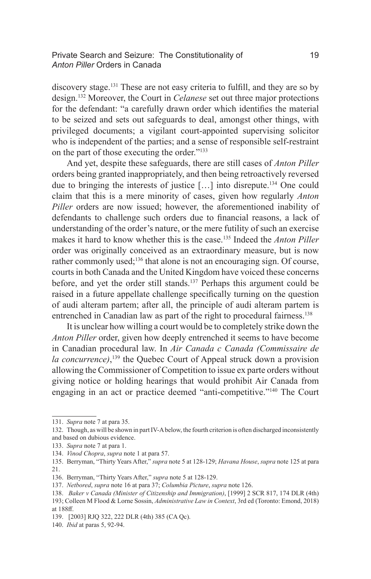# Private Search and Seizure: The Constitutionality of 19 *Anton Piller* Orders in Canada

discovery stage.131 These are not easy criteria to fulfill, and they are so by design.132 Moreover, the Court in *Celanese* set out three major protections for the defendant: "a carefully drawn order which identifies the material to be seized and sets out safeguards to deal, amongst other things, with privileged documents; a vigilant court-appointed supervising solicitor who is independent of the parties; and a sense of responsible self-restraint on the part of those executing the order."133

And yet, despite these safeguards, there are still cases of *Anton Piller*  orders being granted inappropriately, and then being retroactively reversed due to bringing the interests of justice […] into disrepute.134 One could claim that this is a mere minority of cases, given how regularly *Anton Piller* orders are now issued; however, the aforementioned inability of defendants to challenge such orders due to financial reasons, a lack of understanding of the order's nature, or the mere futility of such an exercise makes it hard to know whether this is the case.135 Indeed the *Anton Piller*  order was originally conceived as an extraordinary measure, but is now rather commonly used;<sup>136</sup> that alone is not an encouraging sign. Of course, courts in both Canada and the United Kingdom have voiced these concerns before, and yet the order still stands.<sup>137</sup> Perhaps this argument could be raised in a future appellate challenge specifically turning on the question of audi alteram partem; after all, the principle of audi alteram partem is entrenched in Canadian law as part of the right to procedural fairness.<sup>138</sup>

It is unclear how willing a court would be to completely strike down the *Anton Piller* order, given how deeply entrenched it seems to have become in Canadian procedural law. In *Air Canada c Canada (Commissaire de la concurrence)*, 139 the Quebec Court of Appeal struck down a provision allowing the Commissioner of Competition to issue ex parte orders without giving notice or holding hearings that would prohibit Air Canada from engaging in an act or practice deemed "anti-competitive."140 The Court

<sup>131.</sup> *Supra* note 7 at para 35.

<sup>132.</sup> Though, as will be shown in part IV-A below, the fourth criterion is often discharged inconsistently and based on dubious evidence.

<sup>133.</sup> *Supra* note 7 at para 1.

<sup>134.</sup> *Vinod Chopra*, *supra* note 1 at para 57.

<sup>135.</sup> Berryman, "Thirty Years After," *supra* note 5 at 128-129; *Havana House*, *supra* note 125 at para 21.

<sup>136.</sup> Berryman, "Thirty Years After," *supra* note 5 at 128-129.

<sup>137.</sup> *Netbored*, *supra* note 16 at para 37; *Columbia Picture*, *supra* note 126.

<sup>138.</sup> *Baker v Canada (Minister of Citizenship and Immigration)*, [1999] 2 SCR 817, 174 DLR (4th) 193; Colleen M Flood & Lorne Sossin, *Administrative Law in Context*, 3rd ed (Toronto: Emond, 2018) at 188ff.

<sup>139. [2003]</sup> RJQ 322, 222 DLR (4th) 385 (CA Qc).

<sup>140.</sup> *Ibid* at paras 5, 92-94.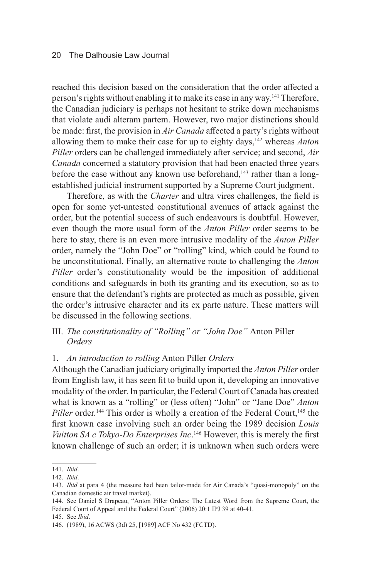reached this decision based on the consideration that the order affected a person's rights without enabling it to make its case in any way.141 Therefore, the Canadian judiciary is perhaps not hesitant to strike down mechanisms that violate audi alteram partem. However, two major distinctions should be made: first, the provision in *Air Canada* affected a party's rights without allowing them to make their case for up to eighty days,<sup>142</sup> whereas *Anton Piller* orders can be challenged immediately after service; and second, *Air Canada* concerned a statutory provision that had been enacted three years before the case without any known use beforehand, $143$  rather than a longestablished judicial instrument supported by a Supreme Court judgment.

Therefore, as with the *Charter* and ultra vires challenges, the field is open for some yet-untested constitutional avenues of attack against the order, but the potential success of such endeavours is doubtful. However, even though the more usual form of the *Anton Piller* order seems to be here to stay, there is an even more intrusive modality of the *Anton Piller*  order, namely the "John Doe" or "rolling" kind, which could be found to be unconstitutional. Finally, an alternative route to challenging the *Anton Piller* order's constitutionality would be the imposition of additional conditions and safeguards in both its granting and its execution, so as to ensure that the defendant's rights are protected as much as possible, given the order's intrusive character and its ex parte nature. These matters will be discussed in the following sections.

# III. *The constitutionality of "Rolling" or "John Doe"* Anton Piller *Orders*

#### 1. *An introduction to rolling* Anton Piller *Orders*

Although the Canadian judiciary originally imported the *Anton Piller* order from English law, it has seen fit to build upon it, developing an innovative modality of the order. In particular, the Federal Court of Canada has created what is known as a "rolling" or (less often) "John" or "Jane Doe" *Anton Piller* order.<sup>144</sup> This order is wholly a creation of the Federal Court,<sup>145</sup> the first known case involving such an order being the 1989 decision *Louis Vuitton SA c Tokyo-Do Enterprises Inc*.<sup>146</sup> However, this is merely the first known challenge of such an order; it is unknown when such orders were

<sup>141.</sup> *Ibid*.

<sup>142.</sup> *Ibid*.

<sup>143.</sup> *Ibid* at para 4 (the measure had been tailor-made for Air Canada's "quasi-monopoly" on the Canadian domestic air travel market).

<sup>144.</sup> See Daniel S Drapeau, "Anton Piller Orders: The Latest Word from the Supreme Court, the Federal Court of Appeal and the Federal Court" (2006) 20:1 IPJ 39 at 40-41.

<sup>145.</sup> See *Ibid*.

<sup>146.</sup> (1989), 16 ACWS (3d) 25, [1989] ACF No 432 (FCTD).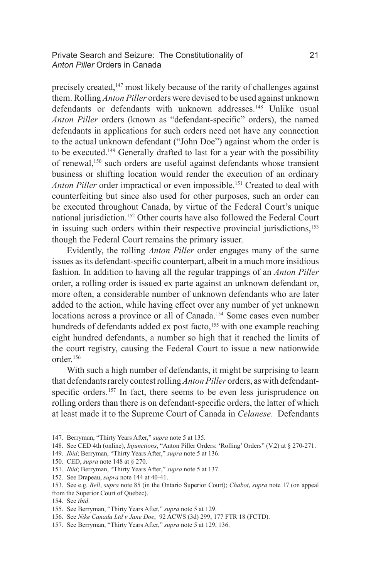Private Search and Seizure: The Constitutionality of 21 *Anton Piller* Orders in Canada

precisely created,<sup>147</sup> most likely because of the rarity of challenges against them. Rolling *Anton Piller* orders were devised to be used against unknown defendants or defendants with unknown addresses.<sup>148</sup> Unlike usual *Anton Piller* orders (known as "defendant-specific" orders), the named defendants in applications for such orders need not have any connection to the actual unknown defendant ("John Doe") against whom the order is to be executed.149 Generally drafted to last for a year with the possibility of renewal,150 such orders are useful against defendants whose transient business or shifting location would render the execution of an ordinary *Anton Piller* order impractical or even impossible.<sup>151</sup> Created to deal with counterfeiting but since also used for other purposes, such an order can be executed throughout Canada, by virtue of the Federal Court's unique national jurisdiction.<sup>152</sup> Other courts have also followed the Federal Court in issuing such orders within their respective provincial jurisdictions,<sup>153</sup> though the Federal Court remains the primary issuer.

Evidently, the rolling *Anton Piller* order engages many of the same issues as its defendant-specific counterpart, albeit in a much more insidious fashion. In addition to having all the regular trappings of an *Anton Piller*  order, a rolling order is issued ex parte against an unknown defendant or, more often, a considerable number of unknown defendants who are later added to the action, while having effect over any number of yet unknown locations across a province or all of Canada.<sup>154</sup> Some cases even number hundreds of defendants added ex post facto,<sup>155</sup> with one example reaching eight hundred defendants, a number so high that it reached the limits of the court registry, causing the Federal Court to issue a new nationwide order.156

With such a high number of defendants, it might be surprising to learn that defendants rarely contest rolling *Anton Piller* orders, as with defendantspecific orders.<sup>157</sup> In fact, there seems to be even less jurisprudence on rolling orders than there is on defendant-specific orders, the latter of which at least made it to the Supreme Court of Canada in *Celanese*. Defendants

<sup>147.</sup> Berryman, "Thirty Years After," *supra* note 5 at 135.

<sup>148.</sup> See CED 4th (online), *Injunctions*, "Anton Piller Orders: 'Rolling' Orders" (V.2) at § 270-271.

<sup>149.</sup> *Ibid*; Berryman, "Thirty Years After," *supra* note 5 at 136.

<sup>150.</sup> CED, *supra* note 148 at § 270.

<sup>151.</sup> *Ibid*; Berryman, "Thirty Years After," *supra* note 5 at 137.

<sup>152.</sup> See Drapeau, *supra* note 144 at 40-41.

<sup>153.</sup> See e.g. *Bell*, *supra* note 85 (in the Ontario Superior Court); *Chabot*, *supra* note 17 (on appeal

from the Superior Court of Quebec).

<sup>154.</sup> See *ibid*.

<sup>155.</sup> See Berryman, "Thirty Years After," *supra* note 5 at 129.

<sup>156.</sup> See *Nike Canada Ltd v Jane Doe*, 92 ACWS (3d) 299, 177 FTR 18 (FCTD).

<sup>157.</sup> See Berryman, "Thirty Years After," *supra* note 5 at 129, 136.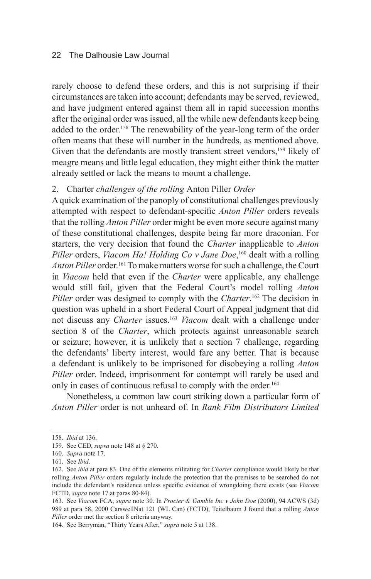rarely choose to defend these orders, and this is not surprising if their circumstances are taken into account; defendants may be served, reviewed, and have judgment entered against them all in rapid succession months after the original order was issued, all the while new defendants keep being added to the order.<sup>158</sup> The renewability of the year-long term of the order often means that these will number in the hundreds, as mentioned above. Given that the defendants are mostly transient street vendors,<sup>159</sup> likely of meagre means and little legal education, they might either think the matter already settled or lack the means to mount a challenge.

# 2. Charter *challenges of the rolling* Anton Piller *Order*

A quick examination of the panoply of constitutional challenges previously attempted with respect to defendant-specific *Anton Piller* orders reveals that the rolling *Anton Piller* order might be even more secure against many of these constitutional challenges, despite being far more draconian. For starters, the very decision that found the *Charter* inapplicable to *Anton Piller* orders, *Viacom Ha! Holding Co v Jane Doe*, 160 dealt with a rolling *Anton Piller* order.161 To make matters worse for such a challenge, the Court in *Viacom* held that even if the *Charter* were applicable, any challenge would still fail, given that the Federal Court's model rolling *Anton Piller* order was designed to comply with the *Charter*.<sup>162</sup> The decision in question was upheld in a short Federal Court of Appeal judgment that did not discuss any *Charter* issues.163 *Viacom* dealt with a challenge under section 8 of the *Charter*, which protects against unreasonable search or seizure; however, it is unlikely that a section 7 challenge, regarding the defendants' liberty interest, would fare any better. That is because a defendant is unlikely to be imprisoned for disobeying a rolling *Anton Piller* order. Indeed, imprisonment for contempt will rarely be used and only in cases of continuous refusal to comply with the order.<sup>164</sup>

Nonetheless, a common law court striking down a particular form of *Anton Piller* order is not unheard of. In *Rank Film Distributors Limited* 

164. See Berryman, "Thirty Years After," *supra* note 5 at 138.

<sup>158.</sup> *Ibid* at 136.

<sup>159.</sup> See CED, *supra* note 148 at § 270.

<sup>160.</sup> *Supra* note 17.

<sup>161.</sup> See *Ibid*.

<sup>162.</sup> See *ibid* at para 83. One of the elements militating for *Charter* compliance would likely be that rolling *Anton Piller* orders regularly include the protection that the premises to be searched do not include the defendant's residence unless specific evidence of wrongdoing there exists (see *Viacom*  FCTD, *supra* note 17 at paras 80-84).

<sup>163.</sup> See *Viacom* FCA, *supra* note 30. In *Procter & Gamble Inc v John Doe* (2000), 94 ACWS (3d) 989 at para 58, 2000 CarswellNat 121 (WL Can) (FCTD), Teitelbaum J found that a rolling *Anton Piller* order met the section 8 criteria anyway.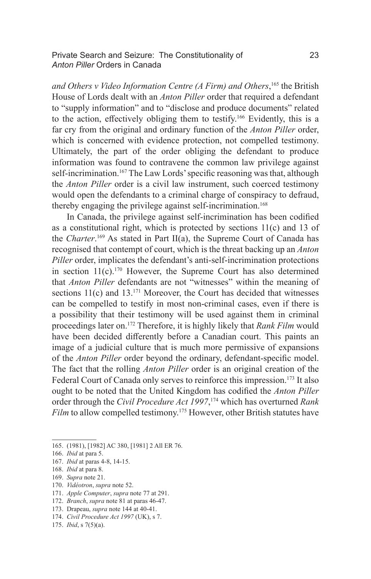Private Search and Seizure: The Constitutionality of 23 *Anton Piller* Orders in Canada

*and Others v Video Information Centre (A Firm) and Others*, 165 the British House of Lords dealt with an *Anton Piller* order that required a defendant to "supply information" and to "disclose and produce documents" related to the action, effectively obliging them to testify.166 Evidently, this is a far cry from the original and ordinary function of the *Anton Piller* order, which is concerned with evidence protection, not compelled testimony. Ultimately, the part of the order obliging the defendant to produce information was found to contravene the common law privilege against self-incrimination.<sup>167</sup> The Law Lords' specific reasoning was that, although the *Anton Piller* order is a civil law instrument, such coerced testimony would open the defendants to a criminal charge of conspiracy to defraud, thereby engaging the privilege against self-incrimination.<sup>168</sup>

In Canada, the privilege against self-incrimination has been codified as a constitutional right, which is protected by sections 11(c) and 13 of the *Charter*. 169 As stated in Part II(a), the Supreme Court of Canada has recognised that contempt of court, which is the threat backing up an *Anton Piller* order, implicates the defendant's anti-self-incrimination protections in section  $11(c)$ .<sup>170</sup> However, the Supreme Court has also determined that *Anton Piller* defendants are not "witnesses" within the meaning of sections 11(c) and 13.<sup>171</sup> Moreover, the Court has decided that witnesses can be compelled to testify in most non-criminal cases, even if there is a possibility that their testimony will be used against them in criminal proceedings later on.172 Therefore, it is highly likely that *Rank Film* would have been decided differently before a Canadian court. This paints an image of a judicial culture that is much more permissive of expansions of the *Anton Piller* order beyond the ordinary, defendant-specific model. The fact that the rolling *Anton Piller* order is an original creation of the Federal Court of Canada only serves to reinforce this impression.<sup>173</sup> It also ought to be noted that the United Kingdom has codified the *Anton Piller*  order through the *Civil Procedure Act 1997*, 174 which has overturned *Rank Film* to allow compelled testimony.<sup>175</sup> However, other British statutes have

<sup>165.</sup> (1981), [1982] AC 380, [1981] 2 All ER 76.

<sup>166.</sup> *Ibid* at para 5.

<sup>167.</sup> *Ibid* at paras 4-8, 14-15.

<sup>168.</sup> *Ibid* at para 8.

<sup>169.</sup> *Supra* note 21.

<sup>170.</sup> *Vidéotron*, *supra* note 52.

<sup>171.</sup> *Apple Computer*, *supra* note 77 at 291.

<sup>172.</sup> *Branch*, *supra* note 81 at paras 46-47.

<sup>173.</sup> Drapeau, *supra* note 144 at 40-41.

<sup>174.</sup> *Civil Procedure Act 1997* (UK), s 7.

<sup>175.</sup> *Ibid*, s 7(5)(a).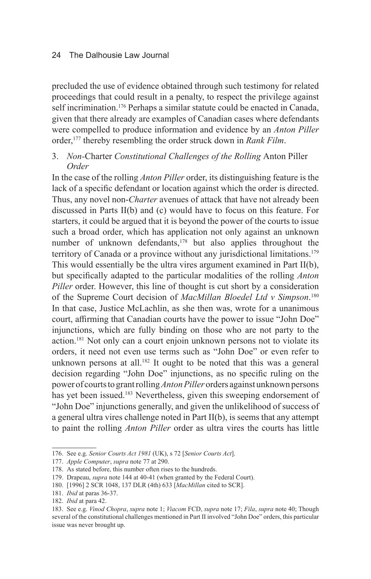precluded the use of evidence obtained through such testimony for related proceedings that could result in a penalty, to respect the privilege against self incrimination.<sup>176</sup> Perhaps a similar statute could be enacted in Canada, given that there already are examples of Canadian cases where defendants were compelled to produce information and evidence by an *Anton Piller*  order,177 thereby resembling the order struck down in *Rank Film*.

# 3. *Non-*Charter *Constitutional Challenges of the Rolling* Anton Piller *Order*

In the case of the rolling *Anton Piller* order, its distinguishing feature is the lack of a specific defendant or location against which the order is directed. Thus, any novel non-*Charter* avenues of attack that have not already been discussed in Parts II(b) and (c) would have to focus on this feature. For starters, it could be argued that it is beyond the power of the courts to issue such a broad order, which has application not only against an unknown number of unknown defendants, $178$  but also applies throughout the territory of Canada or a province without any jurisdictional limitations.<sup>179</sup> This would essentially be the ultra vires argument examined in Part II(b), but specifically adapted to the particular modalities of the rolling *Anton Piller* order. However, this line of thought is cut short by a consideration of the Supreme Court decision of *MacMillan Bloedel Ltd v Simpson*. 180 In that case, Justice McLachlin, as she then was, wrote for a unanimous court, affirming that Canadian courts have the power to issue "John Doe" injunctions, which are fully binding on those who are not party to the action.181 Not only can a court enjoin unknown persons not to violate its orders, it need not even use terms such as "John Doe" or even refer to unknown persons at all.<sup>182</sup> It ought to be noted that this was a general decision regarding "John Doe" injunctions, as no specific ruling on the power of courts to grant rolling *Anton Piller* orders against unknown persons has yet been issued.<sup>183</sup> Nevertheless, given this sweeping endorsement of "John Doe" injunctions generally, and given the unlikelihood of success of a general ultra vires challenge noted in Part II(b), is seems that any attempt to paint the rolling *Anton Piller* order as ultra vires the courts has little

<sup>176.</sup> See e.g. *Senior Courts Act 1981* (UK), s 72 [*Senior Courts Act*].

<sup>177.</sup> *Apple Computer*, *supra* note 77 at 290.

<sup>178.</sup> As stated before, this number often rises to the hundreds.

<sup>179.</sup> Drapeau, *supra* note 144 at 40-41 (when granted by the Federal Court).

<sup>180.</sup> [1996] 2 SCR 1048, 137 DLR (4th) 633 [*MacMillan* cited to SCR].

<sup>181.</sup> *Ibid* at paras 36-37.

<sup>182.</sup> *Ibid* at para 42.

<sup>183.</sup> See e.g. *Vinod Chopra*, *supra* note 1; *Viacom* FCD, *supra* note 17; *Fila*, *supra* note 40; Though several of the constitutional challenges mentioned in Part II involved "John Doe" orders, this particular issue was never brought up.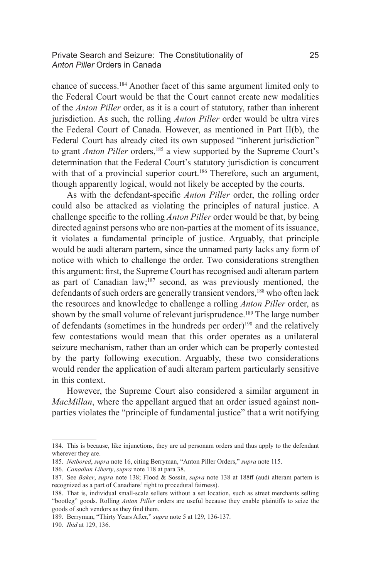Private Search and Seizure: The Constitutionality of 25 *Anton Piller* Orders in Canada

chance of success.184 Another facet of this same argument limited only to the Federal Court would be that the Court cannot create new modalities of the *Anton Piller* order, as it is a court of statutory, rather than inherent jurisdiction. As such, the rolling *Anton Piller* order would be ultra vires the Federal Court of Canada. However, as mentioned in Part II(b), the Federal Court has already cited its own supposed "inherent jurisdiction" to grant *Anton Piller* orders,185 a view supported by the Supreme Court's determination that the Federal Court's statutory jurisdiction is concurrent with that of a provincial superior court.<sup>186</sup> Therefore, such an argument, though apparently logical, would not likely be accepted by the courts.

As with the defendant-specific *Anton Piller* order, the rolling order could also be attacked as violating the principles of natural justice. A challenge specific to the rolling *Anton Piller* order would be that, by being directed against persons who are non-parties at the moment of its issuance, it violates a fundamental principle of justice. Arguably, that principle would be audi alteram partem, since the unnamed party lacks any form of notice with which to challenge the order. Two considerations strengthen this argument: first, the Supreme Court has recognised audi alteram partem as part of Canadian law;187 second, as was previously mentioned, the defendants of such orders are generally transient vendors,<sup>188</sup> who often lack the resources and knowledge to challenge a rolling *Anton Piller* order, as shown by the small volume of relevant jurisprudence.<sup>189</sup> The large number of defendants (sometimes in the hundreds per order)190 and the relatively few contestations would mean that this order operates as a unilateral seizure mechanism, rather than an order which can be properly contested by the party following execution. Arguably, these two considerations would render the application of audi alteram partem particularly sensitive in this context.

However, the Supreme Court also considered a similar argument in *MacMillan*, where the appellant argued that an order issued against nonparties violates the "principle of fundamental justice" that a writ notifying

<sup>184.</sup> This is because, like injunctions, they are ad personam orders and thus apply to the defendant wherever they are.

<sup>185.</sup> *Netbored*, *supra* note 16, citing Berryman, "Anton Piller Orders," *supra* note 115.

<sup>186.</sup> *Canadian Liberty*, *supra* note 118 at para 38.

<sup>187.</sup> See *Baker*, *supra* note 138; Flood & Sossin, *supra* note 138 at 188ff (audi alteram partem is recognized as a part of Canadians' right to procedural fairness).

<sup>188.</sup> That is, individual small-scale sellers without a set location, such as street merchants selling "bootleg" goods. Rolling *Anton Piller* orders are useful because they enable plaintiffs to seize the goods of such vendors as they find them.

<sup>189.</sup> Berryman, "Thirty Years After," *supra* note 5 at 129, 136-137.

<sup>190.</sup> *Ibid* at 129, 136.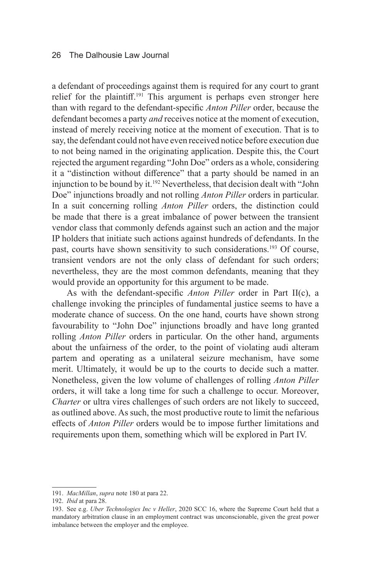a defendant of proceedings against them is required for any court to grant relief for the plaintiff.<sup>191</sup> This argument is perhaps even stronger here than with regard to the defendant-specific *Anton Piller* order, because the defendant becomes a party *and* receives notice at the moment of execution, instead of merely receiving notice at the moment of execution. That is to say, the defendant could not have even received notice before execution due to not being named in the originating application. Despite this, the Court rejected the argument regarding "John Doe" orders as a whole, considering it a "distinction without difference" that a party should be named in an injunction to be bound by it.<sup>192</sup> Nevertheless, that decision dealt with "John Doe" injunctions broadly and not rolling *Anton Piller* orders in particular. In a suit concerning rolling *Anton Piller* orders, the distinction could be made that there is a great imbalance of power between the transient vendor class that commonly defends against such an action and the major IP holders that initiate such actions against hundreds of defendants. In the past, courts have shown sensitivity to such considerations.193 Of course, transient vendors are not the only class of defendant for such orders; nevertheless, they are the most common defendants, meaning that they would provide an opportunity for this argument to be made.

As with the defendant-specific *Anton Piller* order in Part II(c), a challenge invoking the principles of fundamental justice seems to have a moderate chance of success. On the one hand, courts have shown strong favourability to "John Doe" injunctions broadly and have long granted rolling *Anton Piller* orders in particular. On the other hand, arguments about the unfairness of the order, to the point of violating audi alteram partem and operating as a unilateral seizure mechanism, have some merit. Ultimately, it would be up to the courts to decide such a matter. Nonetheless, given the low volume of challenges of rolling *Anton Piller*  orders, it will take a long time for such a challenge to occur. Moreover, *Charter* or ultra vires challenges of such orders are not likely to succeed, as outlined above. As such, the most productive route to limit the nefarious effects of *Anton Piller* orders would be to impose further limitations and requirements upon them, something which will be explored in Part IV.

<sup>191.</sup> *MacMillan*, *supra* note 180 at para 22.

<sup>192.</sup> *Ibid* at para 28.

<sup>193.</sup> See e.g. *Uber Technologies Inc v Heller*, 2020 SCC 16, where the Supreme Court held that a mandatory arbitration clause in an employment contract was unconscionable, given the great power imbalance between the employer and the employee.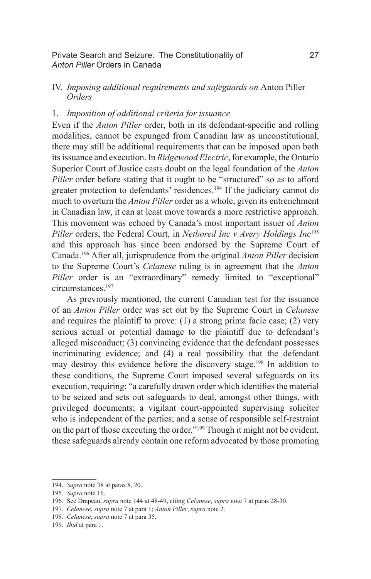### Private Search and Seizure: The Constitutionality of 27 *Anton Piller* Orders in Canada

# IV. *Imposing additional requirements and safeguards on* Anton Piller *Orders*

# 1. *Imposition of additional criteria for issuance*

Even if the *Anton Piller* order, both in its defendant-specific and rolling modalities, cannot be expunged from Canadian law as unconstitutional, there may still be additional requirements that can be imposed upon both its issuance and execution. In *Ridgewood Electric*, for example, the Ontario Superior Court of Justice casts doubt on the legal foundation of the *Anton Piller* order before stating that it ought to be "structured" so as to afford greater protection to defendants' residences.<sup>194</sup> If the judiciary cannot do much to overturn the *Anton Piller* order as a whole, given its entrenchment in Canadian law, it can at least move towards a more restrictive approach. This movement was echoed by Canada's most important issuer of *Anton Piller* orders, the Federal Court, in *Netbored Inc v Avery Holdings Inc*<sup>195</sup> and this approach has since been endorsed by the Supreme Court of Canada.196 After all, jurisprudence from the original *Anton Piller* decision to the Supreme Court's *Celanese* ruling is in agreement that the *Anton Piller* order is an "extraordinary" remedy limited to "exceptional" circumstances.197

As previously mentioned, the current Canadian test for the issuance of an *Anton Piller* order was set out by the Supreme Court in *Celanese*  and requires the plaintiff to prove: (1) a strong prima facie case; (2) very serious actual or potential damage to the plaintiff due to defendant's alleged misconduct; (3) convincing evidence that the defendant possesses incriminating evidence; and (4) a real possibility that the defendant may destroy this evidence before the discovery stage.198 In addition to these conditions, the Supreme Court imposed several safeguards on its execution, requiring: "a carefully drawn order which identifies the material to be seized and sets out safeguards to deal, amongst other things, with privileged documents; a vigilant court-appointed supervising solicitor who is independent of the parties; and a sense of responsible self-restraint on the part of those executing the order."199 Though it might not be evident, these safeguards already contain one reform advocated by those promoting

<sup>194.</sup> *Supra* note 38 at paras 8, 20.

<sup>195.</sup> *Supra* note 16.

<sup>196.</sup> See Drapeau, *supra* note 144 at 48-49, citing *Celanese*, *supra* note 7 at paras 28-30.

<sup>197.</sup> *Celanese*, *supra* note 7 at para 1; *Anton Piller*, *supra* note 2.

<sup>198.</sup> *Celanese*, *supra* note 7 at para 35.

<sup>199.</sup> *Ibid* at para 1.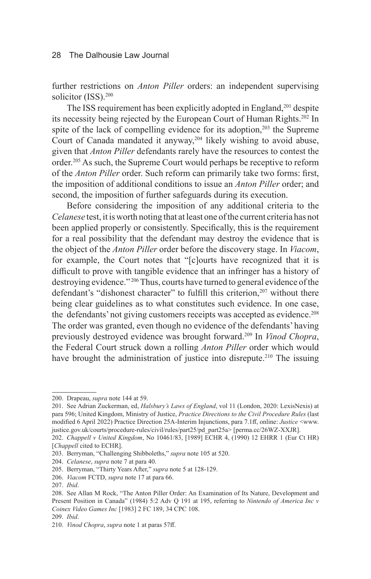further restrictions on *Anton Piller* orders: an independent supervising solicitor (ISS).<sup>200</sup>

The ISS requirement has been explicitly adopted in England,<sup>201</sup> despite its necessity being rejected by the European Court of Human Rights.202 In spite of the lack of compelling evidence for its adoption,<sup>203</sup> the Supreme Court of Canada mandated it anyway,<sup>204</sup> likely wishing to avoid abuse, given that *Anton Piller* defendants rarely have the resources to contest the order.<sup>205</sup> As such, the Supreme Court would perhaps be receptive to reform of the *Anton Piller* order. Such reform can primarily take two forms: first, the imposition of additional conditions to issue an *Anton Piller* order; and second, the imposition of further safeguards during its execution.

Before considering the imposition of any additional criteria to the *Celanese* test, it is worth noting that at least one of the current criteria has not been applied properly or consistently. Specifically, this is the requirement for a real possibility that the defendant may destroy the evidence that is the object of the *Anton Piller* order before the discovery stage. In *Viacom*, for example, the Court notes that "[c]ourts have recognized that it is difficult to prove with tangible evidence that an infringer has a history of destroying evidence."<sup>206</sup> Thus, courts have turned to general evidence of the defendant's "dishonest character" to fulfill this criterion.<sup>207</sup> without there being clear guidelines as to what constitutes such evidence. In one case, the defendants' not giving customers receipts was accepted as evidence.<sup>208</sup> The order was granted, even though no evidence of the defendants' having previously destroyed evidence was brought forward.209 In *Vinod Chopra*, the Federal Court struck down a rolling *Anton Piller* order which would have brought the administration of justice into disrepute.<sup>210</sup> The issuing

<sup>200.</sup> Drapeau, *supra* note 144 at 59.

<sup>201.</sup> See Adrian Zuckerman, ed, *Halsbury's Laws of England*, vol 11 (London, 2020: LexisNexis) at para 596; United Kingdom, Ministry of Justice, *Practice Directions to the Civil Procedure Rules* (last modified 6 April 2022) Practice Direction 25A-Interim Injunctions, para 7.1ff, online: *Justice* <www. justice.gov.uk/courts/procedure-rules/civil/rules/part25/pd\_part25a> [perma.cc/26WZ-XXJR].

<sup>202.</sup> *Chappell v United Kingdom*, No 10461/83, [1989] ECHR 4, (1990) 12 EHRR 1 (Eur Ct HR) [*Chappell* cited to ECHR].

<sup>203.</sup> Berryman, "Challenging Shibboleths," *supra* note 105 at 520.

<sup>204.</sup> *Celanese*, *supra* note 7 at para 40.

<sup>205.</sup> Berryman, "Thirty Years After," *supra* note 5 at 128-129.

<sup>206.</sup> *Viacom* FCTD, *supra* note 17 at para 66.

<sup>207.</sup> *Ibid*.

<sup>208.</sup> See Allan M Rock, "The Anton Piller Order: An Examination of Its Nature, Development and Present Position in Canada" (1984) 5:2 Adv Q 191 at 195, referring to *Nintendo of America Inc v Coinex Video Games Inc* [1983] 2 FC 189, 34 CPC 108.

<sup>209.</sup> *Ibid*.

<sup>210.</sup> *Vinod Chopra*, *supra* note 1 at paras 57ff.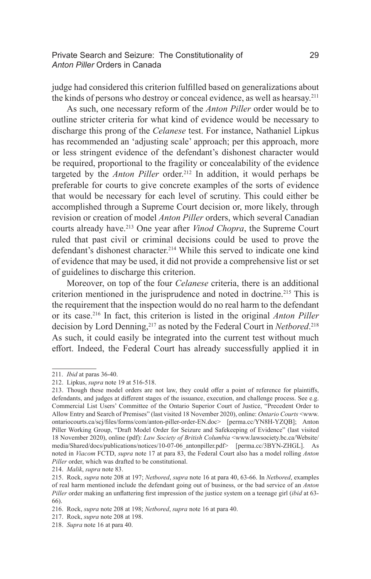Private Search and Seizure: The Constitutionality of 29 *Anton Piller* Orders in Canada

judge had considered this criterion fulfilled based on generalizations about the kinds of persons who destroy or conceal evidence, as well as hearsay.211

As such, one necessary reform of the *Anton Piller* order would be to outline stricter criteria for what kind of evidence would be necessary to discharge this prong of the *Celanese* test. For instance, Nathaniel Lipkus has recommended an 'adjusting scale' approach; per this approach, more or less stringent evidence of the defendant's dishonest character would be required, proportional to the fragility or concealability of the evidence targeted by the *Anton Piller* order.<sup>212</sup> In addition, it would perhaps be preferable for courts to give concrete examples of the sorts of evidence that would be necessary for each level of scrutiny. This could either be accomplished through a Supreme Court decision or, more likely, through revision or creation of model *Anton Piller* orders, which several Canadian courts already have.213 One year after *Vinod Chopra*, the Supreme Court ruled that past civil or criminal decisions could be used to prove the defendant's dishonest character.<sup>214</sup> While this served to indicate one kind of evidence that may be used, it did not provide a comprehensive list or set of guidelines to discharge this criterion.

Moreover, on top of the four *Celanese* criteria, there is an additional criterion mentioned in the jurisprudence and noted in doctrine.<sup>215</sup> This is the requirement that the inspection would do no real harm to the defendant or its case.216 In fact, this criterion is listed in the original *Anton Piller*  decision by Lord Denning,217 as noted by the Federal Court in *Netbored*. 218 As such, it could easily be integrated into the current test without much effort. Indeed, the Federal Court has already successfully applied it in

<sup>211.</sup> *Ibid* at paras 36-40.

<sup>212.</sup> Lipkus, *supra* note 19 at 516-518.

<sup>213.</sup> Though these model orders are not law, they could offer a point of reference for plaintiffs, defendants, and judges at different stages of the issuance, execution, and challenge process. See e.g. Commercial List Users' Committee of the Ontario Superior Court of Justice, "Precedent Order to Allow Entry and Search of Premises" (last visited 18 November 2020), online: *Ontario Courts* <www. ontariocourts.ca/scj/files/forms/com/anton-piller-order-EN.doc> [perma.cc/YN8H-YZQB]; Anton Piller Working Group, "Draft Model Order for Seizure and Safekeeping of Evidence" (last visited 18 November 2020), online (pdf): *Law Society of British Columbia* <www.lawsociety.bc.ca/Website/ media/Shared/docs/publications/notices/10-07-06\_antonpiller.pdf> [perma.cc/3BYN-ZHGL]. As noted in *Viacom* FCTD, *supra* note 17 at para 83, the Federal Court also has a model rolling *Anton Piller* order, which was drafted to be constitutional.

<sup>214.</sup> *Malik*, *supra* note 83.

<sup>215.</sup> Rock, *supra* note 208 at 197; *Netbored*, *supra* note 16 at para 40, 63-66. In *Netbored*, examples of real harm mentioned include the defendant going out of business, or the bad service of an *Anton Piller* order making an unflattering first impression of the justice system on a teenage girl (*ibid* at 63- 66).

<sup>216.</sup> Rock, *supra* note 208 at 198; *Netbored*, *supra* note 16 at para 40.

<sup>217.</sup> Rock, *supra* note 208 at 198.

<sup>218.</sup> *Supra* note 16 at para 40.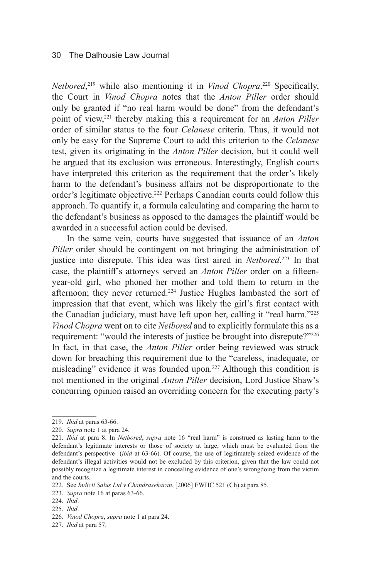*Netbored*, 219 while also mentioning it in *Vinod Chopra*. <sup>220</sup> Specifically, the Court in *Vinod Chopra* notes that the *Anton Piller* order should only be granted if "no real harm would be done" from the defendant's point of view,<sup>221</sup> thereby making this a requirement for an *Anton Piller* order of similar status to the four *Celanese* criteria. Thus, it would not only be easy for the Supreme Court to add this criterion to the *Celanese*  test, given its originating in the *Anton Piller* decision, but it could well be argued that its exclusion was erroneous. Interestingly, English courts have interpreted this criterion as the requirement that the order's likely harm to the defendant's business affairs not be disproportionate to the order's legitimate objective.222 Perhaps Canadian courts could follow this approach. To quantify it, a formula calculating and comparing the harm to the defendant's business as opposed to the damages the plaintiff would be awarded in a successful action could be devised.

In the same vein, courts have suggested that issuance of an *Anton Piller* order should be contingent on not bringing the administration of justice into disrepute. This idea was first aired in *Netbored*. 223 In that case, the plaintiff's attorneys served an *Anton Piller* order on a fifteenyear-old girl, who phoned her mother and told them to return in the afternoon; they never returned.<sup>224</sup> Justice Hughes lambasted the sort of impression that that event, which was likely the girl's first contact with the Canadian judiciary, must have left upon her, calling it "real harm."225 *Vinod Chopra* went on to cite *Netbored* and to explicitly formulate this as a requirement: "would the interests of justice be brought into disrepute?"<sup>226</sup> In fact, in that case, the *Anton Piller* order being reviewed was struck down for breaching this requirement due to the "careless, inadequate, or misleading" evidence it was founded upon.<sup>227</sup> Although this condition is not mentioned in the original *Anton Piller* decision, Lord Justice Shaw's concurring opinion raised an overriding concern for the executing party's

<sup>219.</sup> *Ibid* at paras 63-66.

<sup>220.</sup> *Supra* note 1 at para 24.

<sup>221.</sup> *Ibid* at para 8. In *Netbored*, *supra* note 16 "real harm" is construed as lasting harm to the defendant's legitimate interests or those of society at large, which must be evaluated from the defendant's perspective (*ibid* at 63-66). Of course, the use of legitimately seized evidence of the defendant's illegal activities would not be excluded by this criterion, given that the law could not possibly recognize a legitimate interest in concealing evidence of one's wrongdoing from the victim and the courts.

<sup>222.</sup> See *Indicii Salus Ltd v Chandrasekaran*, [2006] EWHC 521 (Ch) at para 85.

<sup>223.</sup> *Supra* note 16 at paras 63-66.

<sup>224.</sup> *Ibid*.

<sup>225.</sup> *Ibid*.

<sup>226.</sup> *Vinod Chopra*, *supra* note 1 at para 24.

<sup>227.</sup> *Ibid* at para 57.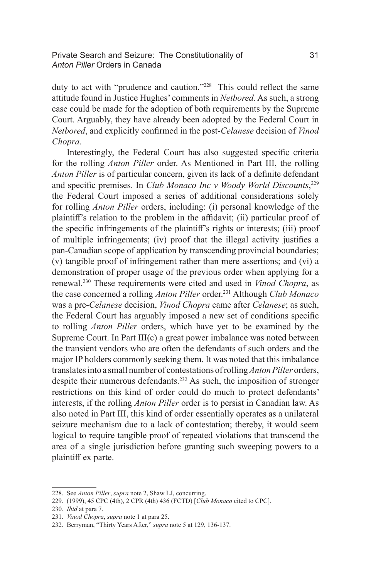# Private Search and Seizure: The Constitutionality of 31 *Anton Piller* Orders in Canada

duty to act with "prudence and caution."228 This could reflect the same attitude found in Justice Hughes' comments in *Netbored*. As such, a strong case could be made for the adoption of both requirements by the Supreme Court. Arguably, they have already been adopted by the Federal Court in *Netbored*, and explicitly confirmed in the post-*Celanese* decision of *Vinod Chopra*.

Interestingly, the Federal Court has also suggested specific criteria for the rolling *Anton Piller* order. As Mentioned in Part III, the rolling *Anton Piller* is of particular concern, given its lack of a definite defendant and specific premises. In *Club Monaco Inc v Woody World Discounts*, 229 the Federal Court imposed a series of additional considerations solely for rolling *Anton Piller* orders, including: (i) personal knowledge of the plaintiff's relation to the problem in the affidavit; (ii) particular proof of the specific infringements of the plaintiff's rights or interests; (iii) proof of multiple infringements; (iv) proof that the illegal activity justifies a pan-Canadian scope of application by transcending provincial boundaries; (v) tangible proof of infringement rather than mere assertions; and (vi) a demonstration of proper usage of the previous order when applying for a renewal.230 These requirements were cited and used in *Vinod Chopra*, as the case concerned a rolling *Anton Piller* order.231 Although *Club Monaco*  was a pre-*Celanese* decision, *Vinod Chopra* came after *Celanese*; as such, the Federal Court has arguably imposed a new set of conditions specific to rolling *Anton Piller* orders, which have yet to be examined by the Supreme Court. In Part III(c) a great power imbalance was noted between the transient vendors who are often the defendants of such orders and the major IP holders commonly seeking them. It was noted that this imbalance translates into a small number of contestations of rolling *Anton Piller* orders, despite their numerous defendants.232 As such, the imposition of stronger restrictions on this kind of order could do much to protect defendants' interests, if the rolling *Anton Piller* order is to persist in Canadian law. As also noted in Part III, this kind of order essentially operates as a unilateral seizure mechanism due to a lack of contestation; thereby, it would seem logical to require tangible proof of repeated violations that transcend the area of a single jurisdiction before granting such sweeping powers to a plaintiff ex parte.

<sup>228.</sup> See *Anton Piller*, *supra* note 2, Shaw LJ, concurring.

<sup>229.</sup> (1999), 45 CPC (4th), 2 CPR (4th) 436 (FCTD) [*Club Monaco* cited to CPC].

<sup>230.</sup> *Ibid* at para 7.

<sup>231.</sup> *Vinod Chopra*, *supra* note 1 at para 25.

<sup>232.</sup> Berryman, "Thirty Years After," *supra* note 5 at 129, 136-137.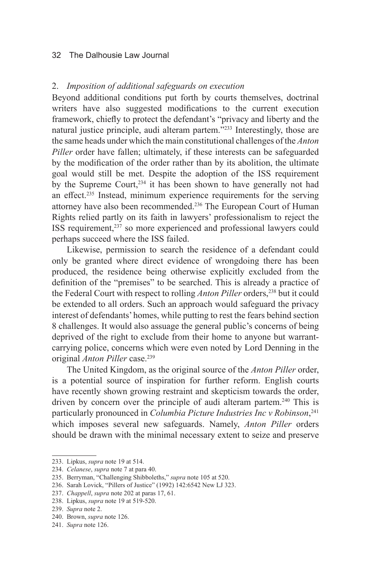# 2. *Imposition of additional safeguards on execution*

Beyond additional conditions put forth by courts themselves, doctrinal writers have also suggested modifications to the current execution framework, chiefly to protect the defendant's "privacy and liberty and the natural justice principle, audi alteram partem."233 Interestingly, those are the same heads under which the main constitutional challenges of the *Anton Piller* order have fallen; ultimately, if these interests can be safeguarded by the modification of the order rather than by its abolition, the ultimate goal would still be met. Despite the adoption of the ISS requirement by the Supreme Court,  $234$  it has been shown to have generally not had an effect.235 Instead, minimum experience requirements for the serving attorney have also been recommended.<sup>236</sup> The European Court of Human Rights relied partly on its faith in lawyers' professionalism to reject the ISS requirement,<sup>237</sup> so more experienced and professional lawyers could perhaps succeed where the ISS failed.

Likewise, permission to search the residence of a defendant could only be granted where direct evidence of wrongdoing there has been produced, the residence being otherwise explicitly excluded from the definition of the "premises" to be searched. This is already a practice of the Federal Court with respect to rolling *Anton Piller* orders,<sup>238</sup> but it could be extended to all orders. Such an approach would safeguard the privacy interest of defendants' homes, while putting to rest the fears behind section 8 challenges. It would also assuage the general public's concerns of being deprived of the right to exclude from their home to anyone but warrantcarrying police, concerns which were even noted by Lord Denning in the original *Anton Piller* case.239

The United Kingdom, as the original source of the *Anton Piller* order, is a potential source of inspiration for further reform. English courts have recently shown growing restraint and skepticism towards the order, driven by concern over the principle of audi alteram partem.<sup>240</sup> This is particularly pronounced in *Columbia Picture Industries Inc v Robinson*, 241 which imposes several new safeguards. Namely, *Anton Piller* orders should be drawn with the minimal necessary extent to seize and preserve

<sup>233.</sup> Lipkus, *supra* note 19 at 514.

<sup>234.</sup> *Celanese*, *supra* note 7 at para 40.

<sup>235.</sup> Berryman, "Challenging Shibboleths," *supra* note 105 at 520.

<sup>236.</sup> Sarah Lovick, "Pillers of Justice" (1992) 142:6542 New LJ 323.

<sup>237.</sup> *Chappell*, *supra* note 202 at paras 17, 61.

<sup>238.</sup> Lipkus, *supra* note 19 at 519-520.

<sup>239.</sup> *Supra* note 2.

<sup>240.</sup> Brown, *supra* note 126.

<sup>241.</sup> *Supra* note 126.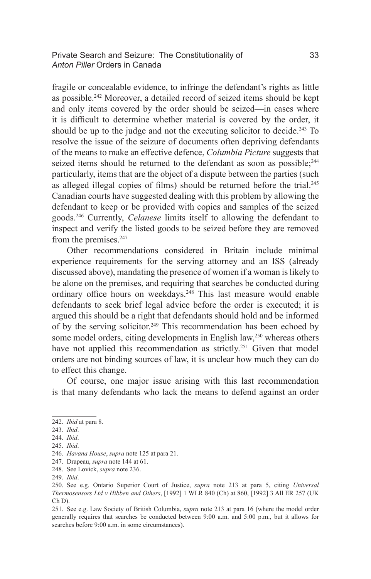Private Search and Seizure: The Constitutionality of 33 *Anton Piller* Orders in Canada

fragile or concealable evidence, to infringe the defendant's rights as little as possible.242 Moreover, a detailed record of seized items should be kept and only items covered by the order should be seized—in cases where it is difficult to determine whether material is covered by the order, it should be up to the judge and not the executing solicitor to decide.<sup>243</sup> To resolve the issue of the seizure of documents often depriving defendants of the means to make an effective defence, *Columbia Picture* suggests that seized items should be returned to the defendant as soon as possible:<sup>244</sup> particularly, items that are the object of a dispute between the parties (such as alleged illegal copies of films) should be returned before the trial.<sup>245</sup> Canadian courts have suggested dealing with this problem by allowing the defendant to keep or be provided with copies and samples of the seized goods.246 Currently, *Celanese* limits itself to allowing the defendant to inspect and verify the listed goods to be seized before they are removed from the premises.<sup>247</sup>

Other recommendations considered in Britain include minimal experience requirements for the serving attorney and an ISS (already discussed above), mandating the presence of women if a woman is likely to be alone on the premises, and requiring that searches be conducted during ordinary office hours on weekdays.<sup>248</sup> This last measure would enable defendants to seek brief legal advice before the order is executed; it is argued this should be a right that defendants should hold and be informed of by the serving solicitor.<sup>249</sup> This recommendation has been echoed by some model orders, citing developments in English law,<sup>250</sup> whereas others have not applied this recommendation as strictly.<sup>251</sup> Given that model orders are not binding sources of law, it is unclear how much they can do to effect this change.

Of course, one major issue arising with this last recommendation is that many defendants who lack the means to defend against an order

<sup>242.</sup> *Ibid* at para 8.

<sup>243.</sup> *Ibid*.

<sup>244.</sup> *Ibid*.

<sup>245.</sup> *Ibid*.

<sup>246.</sup> *Havana House*, *supra* note 125 at para 21.

<sup>247.</sup> Drapeau, *supra* note 144 at 61.

<sup>248.</sup> See Lovick, *supra* note 236.

<sup>249.</sup> *Ibid*.

<sup>250.</sup> See e.g. Ontario Superior Court of Justice, *supra* note 213 at para 5, citing *Universal Thermosensors Ltd v Hibben and Others*, [1992] 1 WLR 840 (Ch) at 860, [1992] 3 All ER 257 (UK Ch D).

<sup>251.</sup> See e.g. Law Society of British Columbia, *supra* note 213 at para 16 (where the model order generally requires that searches be conducted between 9:00 a.m. and 5:00 p.m., but it allows for searches before 9:00 a.m. in some circumstances).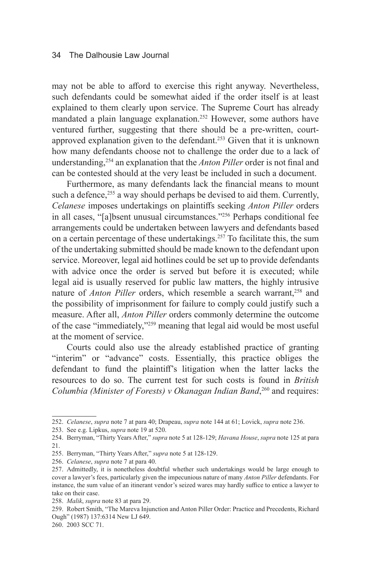may not be able to afford to exercise this right anyway. Nevertheless, such defendants could be somewhat aided if the order itself is at least explained to them clearly upon service. The Supreme Court has already mandated a plain language explanation.252 However, some authors have ventured further, suggesting that there should be a pre-written, courtapproved explanation given to the defendant.253 Given that it is unknown how many defendants choose not to challenge the order due to a lack of understanding,254 an explanation that the *Anton Piller* order is not final and can be contested should at the very least be included in such a document.

Furthermore, as many defendants lack the financial means to mount such a defence, $255$  a way should perhaps be devised to aid them. Currently, *Celanese* imposes undertakings on plaintiffs seeking *Anton Piller* orders in all cases, "[a]bsent unusual circumstances."256 Perhaps conditional fee arrangements could be undertaken between lawyers and defendants based on a certain percentage of these undertakings.<sup>257</sup> To facilitate this, the sum of the undertaking submitted should be made known to the defendant upon service. Moreover, legal aid hotlines could be set up to provide defendants with advice once the order is served but before it is executed; while legal aid is usually reserved for public law matters, the highly intrusive nature of *Anton Piller* orders, which resemble a search warrant,<sup>258</sup> and the possibility of imprisonment for failure to comply could justify such a measure. After all, *Anton Piller* orders commonly determine the outcome of the case "immediately,"259 meaning that legal aid would be most useful at the moment of service.

Courts could also use the already established practice of granting "interim" or "advance" costs. Essentially, this practice obliges the defendant to fund the plaintiff's litigation when the latter lacks the resources to do so. The current test for such costs is found in *British Columbia (Minister of Forests) v Okanagan Indian Band*, 260 and requires:

<sup>252.</sup> *Celanese*, *supra* note 7 at para 40; Drapeau, *supra* note 144 at 61; Lovick, *supra* note 236.

<sup>253.</sup> See e.g. Lipkus, *supra* note 19 at 520.

<sup>254.</sup> Berryman, "Thirty Years After," *supra* note 5 at 128-129; *Havana House*, *supra* note 125 at para 21.

<sup>255.</sup> Berryman, "Thirty Years After," *supra* note 5 at 128-129.

<sup>256.</sup> *Celanese*, *supra* note 7 at para 40.

<sup>257.</sup> Admittedly, it is nonetheless doubtful whether such undertakings would be large enough to cover a lawyer's fees, particularly given the impecunious nature of many *Anton Piller* defendants. For instance, the sum value of an itinerant vendor's seized wares may hardly suffice to entice a lawyer to take on their case.

<sup>258.</sup> *Malik*, *supra* note 83 at para 29.

<sup>259.</sup> Robert Smith, "The Mareva Injunction and Anton Piller Order: Practice and Precedents, Richard Ough" (1987) 137:6314 New LJ 649.

<sup>260.</sup> 2003 SCC 71.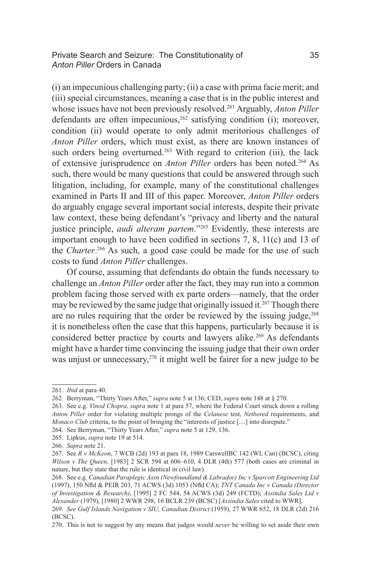Private Search and Seizure: The Constitutionality of 35 *Anton Piller* Orders in Canada

(i) an impecunious challenging party; (ii) a case with prima facie merit; and (iii) special circumstances, meaning a case that is in the public interest and whose issues have not been previously resolved.<sup>261</sup> Arguably, *Anton Piller* defendants are often impecunious,  $262$  satisfying condition (i); moreover, condition (ii) would operate to only admit meritorious challenges of *Anton Piller* orders, which must exist, as there are known instances of such orders being overturned.<sup>263</sup> With regard to criterion (iii), the lack of extensive jurisprudence on *Anton Piller* orders has been noted.<sup>264</sup> As such, there would be many questions that could be answered through such litigation, including, for example, many of the constitutional challenges examined in Parts II and III of this paper. Moreover, *Anton Piller* orders do arguably engage several important social interests, despite their private law context, these being defendant's "privacy and liberty and the natural justice principle, *audi alteram partem*."<sup>265</sup> Evidently, these interests are important enough to have been codified in sections 7, 8, 11(c) and 13 of the *Charter*. 266 As such, a good case could be made for the use of such costs to fund *Anton Piller* challenges.

Of course, assuming that defendants do obtain the funds necessary to challenge an *Anton Piller* order after the fact, they may run into a common problem facing those served with ex parte orders—namely, that the order may be reviewed by the same judge that originally issued it.<sup>267</sup> Though there are no rules requiring that the order be reviewed by the issuing judge,<sup>268</sup> it is nonetheless often the case that this happens, particularly because it is considered better practice by courts and lawyers alike.<sup>269</sup> As defendants might have a harder time convincing the issuing judge that their own order was unjust or unnecessary,<sup>270</sup> it might well be fairer for a new judge to be

<sup>261.</sup> *Ibid* at para 40.

<sup>262.</sup> Berryman, "Thirty Years After," *supra* note 5 at 136; CED, *supra* note 148 at § 270.

<sup>263.</sup> See e.g. *Vinod Chopra*, *supra* note 1 at para 57, where the Federal Court struck down a rolling *Anton Piller* order for violating multiple prongs of the *Celanese* test, *Netbored* requirements, and *Monaco Club* criteria, to the point of bringing the "interests of justice [...] into disrepute."

<sup>264.</sup> See Berryman, "Thirty Years After," *supra* note 5 at 129, 136.

<sup>265.</sup> Lipkus, *supra* note 19 at 514.

<sup>266.</sup> *Supra* note 21.

<sup>267.</sup> See *R v McKeon*, 7 WCB (2d) 193 at para 18, 1989 CarswellBC 142 (WL Can) (BCSC), citing *Wilson v The Queen*, [1983] 2 SCR 594 at 606–610, 4 DLR (4th) 577 (both cases are criminal in nature, but they state that the rule is identical in civil law).

<sup>268.</sup> See e.g. *Canadian Paraplegic Assn (Newfoundland & Labrador) Inc v Sparcott Engineering Ltd* (1997), 150 Nfld & PEIR 203, 71 ACWS (3d) 1053 (Nfld CA); *TNT Canada Inc v Canada (Director of Investigation & Research)*, [1995] 2 FC 544, 54 ACWS (3d) 249 (FCTD); *Assindia Sales Ltd v Alexander* (1979), [1980] 2 WWR 298, 16 BCLR 239 (BCSC) [*Assindia Sales* cited to WWR].

<sup>269.</sup> *See Gulf Islands Navigation v SIU, Canadian District* (1959), 27 WWR 652, 18 DLR (2d) 216 (BCSC).

<sup>270.</sup> This is not to suggest by any means that judges would *never* be willing to set aside their own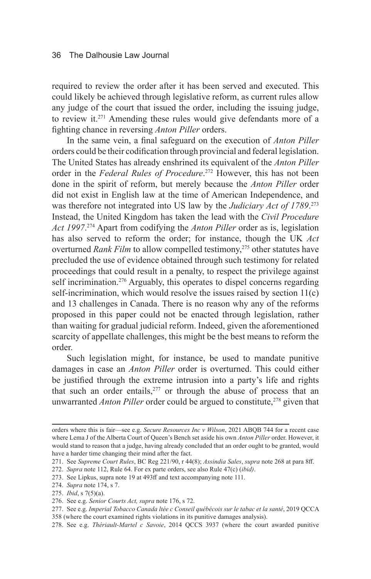required to review the order after it has been served and executed. This could likely be achieved through legislative reform, as current rules allow any judge of the court that issued the order, including the issuing judge, to review it.271 Amending these rules would give defendants more of a fighting chance in reversing *Anton Piller* orders.

In the same vein, a final safeguard on the execution of *Anton Piller*  orders could be their codification through provincial and federal legislation. The United States has already enshrined its equivalent of the *Anton Piller*  order in the *Federal Rules of Procedure*. 272 However, this has not been done in the spirit of reform, but merely because the *Anton Piller* order did not exist in English law at the time of American Independence, and was therefore not integrated into US law by the *Judiciary Act of 1789*. 273 Instead, the United Kingdom has taken the lead with the *Civil Procedure Act 1997*. 274 Apart from codifying the *Anton Piller* order as is, legislation has also served to reform the order; for instance, though the UK *Act*  overturned *Rank Film* to allow compelled testimony,<sup>275</sup> other statutes have precluded the use of evidence obtained through such testimony for related proceedings that could result in a penalty, to respect the privilege against self incrimination.<sup>276</sup> Arguably, this operates to dispel concerns regarding self-incrimination, which would resolve the issues raised by section 11(c) and 13 challenges in Canada. There is no reason why any of the reforms proposed in this paper could not be enacted through legislation, rather than waiting for gradual judicial reform. Indeed, given the aforementioned scarcity of appellate challenges, this might be the best means to reform the order.

Such legislation might, for instance, be used to mandate punitive damages in case an *Anton Piller* order is overturned. This could either be justified through the extreme intrusion into a party's life and rights that such an order entails, $277$  or through the abuse of process that an unwarranted *Anton Piller* order could be argued to constitute,<sup>278</sup> given that

orders where this is fair—see e.g. *Secure Resources Inc v Wilson*, 2021 ABQB 744 for a recent case where Lema J of the Alberta Court of Queen's Bench set aside his own *Anton Piller* order. However, it would stand to reason that a judge, having already concluded that an order ought to be granted, would have a harder time changing their mind after the fact.

<sup>271.</sup> See *Supreme Court Rules*, BC Reg 221/90, r 44(8); *Assindia Sales*, *supra* note 268 at para 8ff.

<sup>272.</sup> *Supra* note 112, Rule 64. For ex parte orders, see also Rule 47(c) (*ibid)*.

<sup>273.</sup> See Lipkus, supra note 19 at 493ff and text accompanying note 111.

<sup>274.</sup> *Supra* note 174, s 7.

<sup>275.</sup> *Ibid*, s 7(5)(a).

<sup>276.</sup> See e.g. *Senior Courts Act, supra* note 176, s 72.

<sup>277.</sup> See e.g. *Imperial Tobacco Canada ltée c Conseil québécois sur le tabac et la santé*, 2019 QCCA

<sup>358 (</sup>where the court examined rights violations in its punitive damages analysis).

<sup>278.</sup> See e.g. *Thériault-Martel c Savoie*, 2014 QCCS 3937 (where the court awarded punitive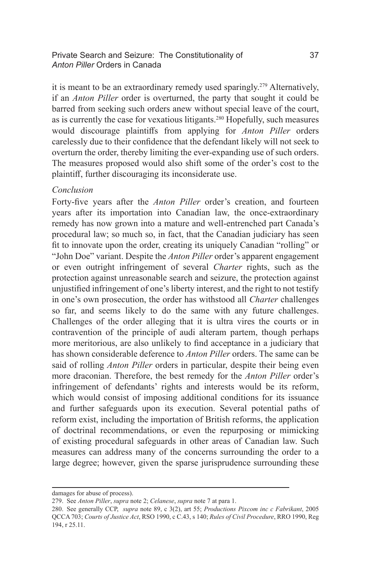# Private Search and Seizure: The Constitutionality of 37 *Anton Piller* Orders in Canada

it is meant to be an extraordinary remedy used sparingly.<sup>279</sup> Alternatively, if an *Anton Piller* order is overturned, the party that sought it could be barred from seeking such orders anew without special leave of the court, as is currently the case for vexatious litigants.280 Hopefully, such measures would discourage plaintiffs from applying for *Anton Piller* orders carelessly due to their confidence that the defendant likely will not seek to overturn the order, thereby limiting the ever-expanding use of such orders. The measures proposed would also shift some of the order's cost to the plaintiff, further discouraging its inconsiderate use.

# *Conclusion*

Forty-five years after the *Anton Piller* order's creation, and fourteen years after its importation into Canadian law, the once-extraordinary remedy has now grown into a mature and well-entrenched part Canada's procedural law; so much so, in fact, that the Canadian judiciary has seen fit to innovate upon the order, creating its uniquely Canadian "rolling" or "John Doe" variant. Despite the *Anton Piller* order's apparent engagement or even outright infringement of several *Charter* rights, such as the protection against unreasonable search and seizure, the protection against unjustified infringement of one's liberty interest, and the right to not testify in one's own prosecution, the order has withstood all *Charter* challenges so far, and seems likely to do the same with any future challenges. Challenges of the order alleging that it is ultra vires the courts or in contravention of the principle of audi alteram partem, though perhaps more meritorious, are also unlikely to find acceptance in a judiciary that has shown considerable deference to *Anton Piller* orders. The same can be said of rolling *Anton Piller* orders in particular, despite their being even more draconian. Therefore, the best remedy for the *Anton Piller* order's infringement of defendants' rights and interests would be its reform, which would consist of imposing additional conditions for its issuance and further safeguards upon its execution. Several potential paths of reform exist, including the importation of British reforms, the application of doctrinal recommendations, or even the repurposing or mimicking of existing procedural safeguards in other areas of Canadian law. Such measures can address many of the concerns surrounding the order to a large degree; however, given the sparse jurisprudence surrounding these

damages for abuse of process).

<sup>279.</sup> See *Anton Piller*, *supra* note 2; *Celanese*, *supra* note 7 at para 1.

<sup>280.</sup> See generally CCP, *supra* note 89, c 3(2), art 55; *Productions Pixcom inc c Fabrikant*, 2005 QCCA 703; *Courts of Justice Act*, RSO 1990, c C.43, s 140; *Rules of Civil Procedure*, RRO 1990, Reg 194, r 25.11.